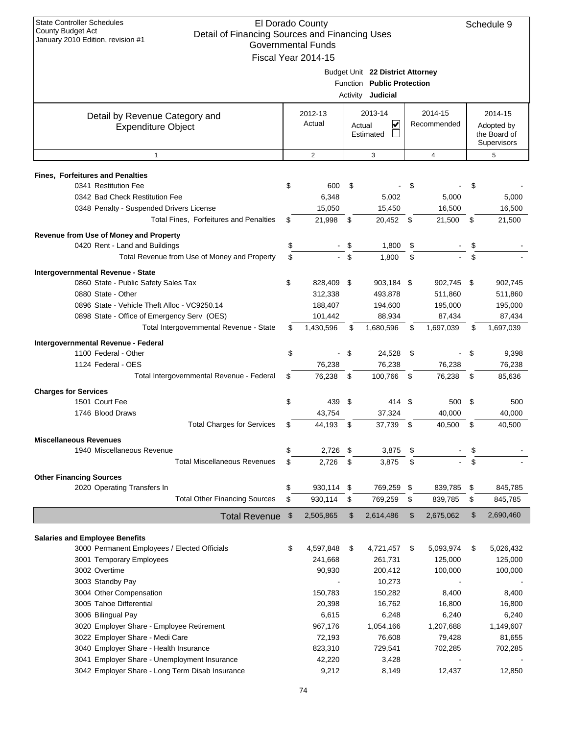| $30.1801$ y $2010$ Lattion, Toviolon $\#$ T                 |     | Governmental Funds   |        |                                  |                      |     |              |
|-------------------------------------------------------------|-----|----------------------|--------|----------------------------------|----------------------|-----|--------------|
|                                                             |     | Fiscal Year 2014-15  |        |                                  |                      |     |              |
|                                                             |     |                      |        | Budget Unit 22 District Attorney |                      |     |              |
|                                                             |     |                      |        | Function Public Protection       |                      |     |              |
|                                                             |     |                      |        | Activity Judicial                |                      |     |              |
| Detail by Revenue Category and                              |     | 2012-13              |        | 2013-14                          | 2014-15              |     | 2014-15      |
| <b>Expenditure Object</b>                                   |     | Actual               | Actual | V                                | Recommended          |     | Adopted by   |
|                                                             |     |                      |        | Estimated                        |                      |     | the Board of |
|                                                             |     |                      |        |                                  |                      |     | Supervisors  |
| $\mathbf{1}$                                                |     | $\overline{2}$       |        | 3                                | 4                    |     | 5            |
| <b>Fines, Forfeitures and Penalties</b>                     |     |                      |        |                                  |                      |     |              |
| 0341 Restitution Fee                                        | \$  | 600                  | \$     |                                  | \$                   | \$  |              |
| 0342 Bad Check Restitution Fee                              |     | 6,348                |        | 5,002                            | 5,000                |     | 5,000        |
| 0348 Penalty - Suspended Drivers License                    |     | 15,050               |        | 15,450                           | 16,500               |     | 16,500       |
| Total Fines, Forfeitures and Penalties                      | \$. | 21,998               | \$     | 20,452 \$                        | 21,500               | \$  | 21,500       |
| Revenue from Use of Money and Property                      |     |                      |        |                                  |                      |     |              |
| 0420 Rent - Land and Buildings                              | \$  | $\mathbf{r}$         | \$     | 1,800                            | \$                   | \$  |              |
| Total Revenue from Use of Money and Property                | \$  |                      | $-$ \$ | 1,800                            | \$                   | \$  |              |
| Intergovernmental Revenue - State                           |     |                      |        |                                  |                      |     |              |
| 0860 State - Public Safety Sales Tax                        | \$  | 828,409 \$           |        | 903,184 \$                       | 902,745 \$           |     | 902,745      |
| 0880 State - Other                                          |     | 312,338              |        | 493,878                          | 511,860              |     | 511,860      |
| 0896 State - Vehicle Theft Alloc - VC9250.14                |     | 188,407              |        | 194,600                          | 195,000              |     | 195,000      |
| 0898 State - Office of Emergency Serv (OES)                 |     | 101,442              |        | 88,934                           | 87,434               |     | 87,434       |
| Total Intergovernmental Revenue - State                     | \$  | 1,430,596            | \$     | 1,680,596                        | \$<br>1,697,039      | \$  | 1,697,039    |
|                                                             |     |                      |        |                                  |                      |     |              |
| Intergovernmental Revenue - Federal<br>1100 Federal - Other | \$  |                      | - \$   | 24,528                           | \$<br>$\blacksquare$ | \$  | 9,398        |
| 1124 Federal - OES                                          |     | 76,238               |        | 76,238                           | 76,238               |     | 76,238       |
| Total Intergovernmental Revenue - Federal                   | \$. | 76,238               | \$     | 100,766                          | \$<br>76,238         | \$  | 85,636       |
|                                                             |     |                      |        |                                  |                      |     |              |
| <b>Charges for Services</b>                                 |     |                      |        |                                  |                      |     |              |
| 1501 Court Fee                                              | \$  | 439                  | \$     | 414 \$                           | 500                  | -\$ | 500          |
| 1746 Blood Draws<br><b>Total Charges for Services</b>       | \$  | 43,754               |        | 37,324<br>37,739 \$              | 40.000               |     | 40,000       |
|                                                             |     | 44,193 \$            |        |                                  | 40,500               | \$  | 40,500       |
| <b>Miscellaneous Revenues</b>                               |     |                      |        |                                  |                      |     |              |
| 1940 Miscellaneous Revenue                                  | \$  | 2,726 \$             |        | 3,875                            | \$                   | \$  |              |
| Total Miscellaneous Revenues                                | \$  | 2,726                | \$     | 3,875                            | \$                   | \$  |              |
| <b>Other Financing Sources</b>                              |     |                      |        |                                  |                      |     |              |
| 2020 Operating Transfers In                                 | \$  | 930,114 \$           |        | 769,259                          | \$<br>839,785        | \$  | 845,785      |
| <b>Total Other Financing Sources</b>                        | \$  | 930,114              | \$     | 769,259                          | \$<br>839,785        | \$  | 845,785      |
| <b>Total Revenue</b>                                        | \$  | 2,505,865            | \$     | 2,614,486                        | \$<br>2,675,062      | \$  | 2,690,460    |
|                                                             |     |                      |        |                                  |                      |     |              |
| <b>Salaries and Employee Benefits</b>                       |     |                      |        |                                  |                      |     |              |
| 3000 Permanent Employees / Elected Officials                | \$  | 4,597,848<br>241,668 | \$     | 4,721,457                        | \$<br>5,093,974      | \$  | 5,026,432    |
| 3001 Temporary Employees<br>3002 Overtime                   |     |                      |        | 261,731                          | 125,000              |     | 125,000      |
| 3003 Standby Pay                                            |     | 90,930               |        | 200,412<br>10,273                | 100,000              |     | 100,000      |
| 3004 Other Compensation                                     |     | 150,783              |        | 150,282                          | 8,400                |     | 8,400        |
| 3005 Tahoe Differential                                     |     | 20,398               |        | 16,762                           | 16,800               |     | 16,800       |
| 3006 Bilingual Pay                                          |     | 6,615                |        | 6,248                            | 6,240                |     | 6,240        |
| 3020 Employer Share - Employee Retirement                   |     | 967,176              |        | 1,054,166                        | 1,207,688            |     | 1,149,607    |
| 3022 Employer Share - Medi Care                             |     | 72,193               |        | 76,608                           | 79,428               |     | 81,655       |
| 3040 Employer Share - Health Insurance                      |     | 823,310              |        | 729,541                          | 702,285              |     | 702,285      |
| 3041 Employer Share - Unemployment Insurance                |     | 42,220               |        | 3,428                            |                      |     |              |
| 3042 Employer Share - Long Term Disab Insurance             |     | 9,212                |        | 8,149                            | 12,437               |     | 12,850       |
|                                                             |     |                      |        |                                  |                      |     |              |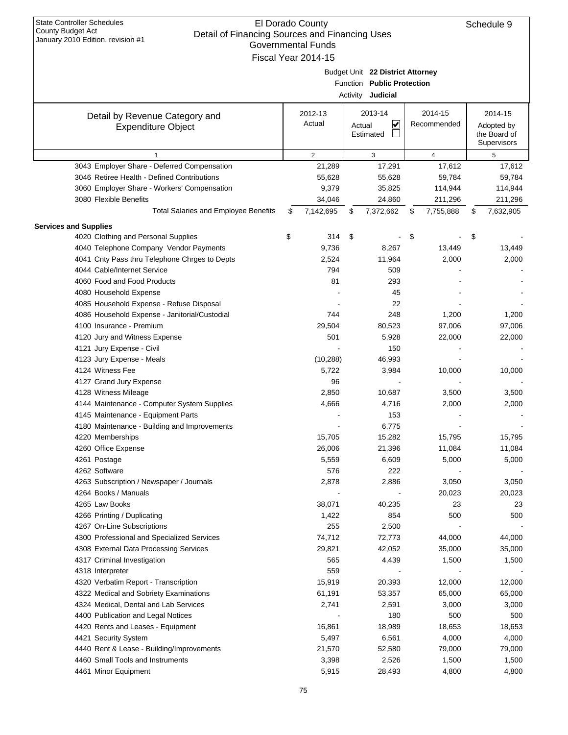|                                               | 011111101110111101<br>Fiscal Year 2014-15 |                                  |                 |                 |
|-----------------------------------------------|-------------------------------------------|----------------------------------|-----------------|-----------------|
|                                               |                                           |                                  |                 |                 |
|                                               |                                           | Budget Unit 22 District Attorney |                 |                 |
|                                               |                                           | Function Public Protection       |                 |                 |
|                                               |                                           | Activity Judicial                |                 |                 |
|                                               | 2012-13                                   | 2013-14                          | 2014-15         | 2014-15         |
| Detail by Revenue Category and                | Actual                                    | ⊻<br>Actual                      | Recommended     | Adopted by      |
| <b>Expenditure Object</b>                     |                                           | Estimated                        |                 | the Board of    |
|                                               |                                           |                                  |                 | Supervisors     |
| $\mathbf{1}$                                  | $\overline{2}$                            | 3                                | $\overline{4}$  | 5               |
| 3043 Employer Share - Deferred Compensation   | 21,289                                    | 17,291                           | 17,612          | 17,612          |
| 3046 Retiree Health - Defined Contributions   | 55,628                                    | 55,628                           | 59,784          | 59,784          |
| 3060 Employer Share - Workers' Compensation   | 9,379                                     | 35,825                           | 114,944         | 114,944         |
| 3080 Flexible Benefits                        | 34,046                                    | 24,860                           | 211,296         | 211,296         |
| <b>Total Salaries and Employee Benefits</b>   | \$<br>7,142,695                           | \$<br>7,372,662                  | \$<br>7,755,888 | \$<br>7,632,905 |
| <b>Services and Supplies</b>                  |                                           |                                  |                 |                 |
| 4020 Clothing and Personal Supplies           | \$<br>314                                 | \$                               | \$              | \$              |
| 4040 Telephone Company Vendor Payments        | 9,736                                     | 8,267                            | 13,449          | 13,449          |
| 4041 Cnty Pass thru Telephone Chrges to Depts | 2,524                                     | 11,964                           | 2,000           | 2,000           |
| 4044 Cable/Internet Service                   | 794                                       | 509                              |                 |                 |
| 4060 Food and Food Products                   | 81                                        | 293                              |                 |                 |
| 4080 Household Expense                        |                                           | 45                               |                 |                 |
| 4085 Household Expense - Refuse Disposal      |                                           | 22                               |                 |                 |
| 4086 Household Expense - Janitorial/Custodial | 744                                       | 248                              | 1,200           | 1,200           |
| 4100 Insurance - Premium                      | 29,504                                    | 80,523                           | 97,006          | 97,006          |
| 4120 Jury and Witness Expense                 | 501                                       | 5,928                            | 22,000          | 22,000          |
| 4121 Jury Expense - Civil                     |                                           | 150                              |                 |                 |
| 4123 Jury Expense - Meals                     | (10, 288)                                 | 46,993                           |                 |                 |
| 4124 Witness Fee                              | 5,722                                     | 3,984                            | 10,000          | 10,000          |
| 4127 Grand Jury Expense                       | 96                                        |                                  |                 |                 |
| 4128 Witness Mileage                          | 2,850                                     | 10,687                           | 3,500           | 3,500           |
| 4144 Maintenance - Computer System Supplies   | 4,666                                     | 4,716                            | 2,000           | 2,000           |
| 4145 Maintenance - Equipment Parts            |                                           | 153                              |                 |                 |
| 4180 Maintenance - Building and Improvements  |                                           | 6,775                            |                 |                 |
| 4220 Memberships                              | 15,705                                    | 15,282                           | 15,795          | 15,795          |
| 4260 Office Expense                           | 26,006                                    | 21,396                           | 11,084          | 11,084          |
| 4261 Postage                                  | 5,559                                     | 6,609                            | 5,000           | 5,000           |
| 4262 Software                                 | 576                                       | 222                              |                 |                 |
| 4263 Subscription / Newspaper / Journals      | 2,878                                     | 2,886                            | 3,050           | 3,050           |
| 4264 Books / Manuals                          |                                           |                                  | 20,023          | 20,023          |
| 4265 Law Books                                | 38,071                                    | 40,235                           | 23              | 23              |
| 4266 Printing / Duplicating                   | 1,422                                     | 854                              | 500             | 500             |
| 4267 On-Line Subscriptions                    | 255                                       | 2,500                            |                 |                 |
| 4300 Professional and Specialized Services    | 74,712                                    | 72,773                           | 44,000          | 44,000          |
| 4308 External Data Processing Services        | 29,821                                    | 42,052                           | 35,000          | 35,000          |
| 4317 Criminal Investigation                   | 565                                       | 4,439                            | 1,500           | 1,500           |
| 4318 Interpreter                              | 559                                       |                                  |                 |                 |
| 4320 Verbatim Report - Transcription          | 15,919                                    | 20,393                           | 12,000          | 12,000          |
| 4322 Medical and Sobriety Examinations        | 61,191                                    | 53,357                           | 65,000          | 65,000          |
| 4324 Medical, Dental and Lab Services         | 2,741                                     | 2,591                            | 3,000           | 3,000           |
| 4400 Publication and Legal Notices            |                                           | 180                              | 500             | 500             |
| 4420 Rents and Leases - Equipment             | 16,861                                    | 18,989                           | 18,653          | 18,653          |
| 4421 Security System                          | 5,497                                     | 6,561                            | 4,000           | 4,000           |
| 4440 Rent & Lease - Building/Improvements     | 21,570                                    | 52,580                           | 79,000          | 79,000          |
| 4460 Small Tools and Instruments              | 3,398                                     | 2,526                            | 1,500           | 1,500           |
|                                               |                                           |                                  |                 |                 |
| 4461 Minor Equipment                          | 5,915                                     | 28,493                           | 4,800           | 4,800           |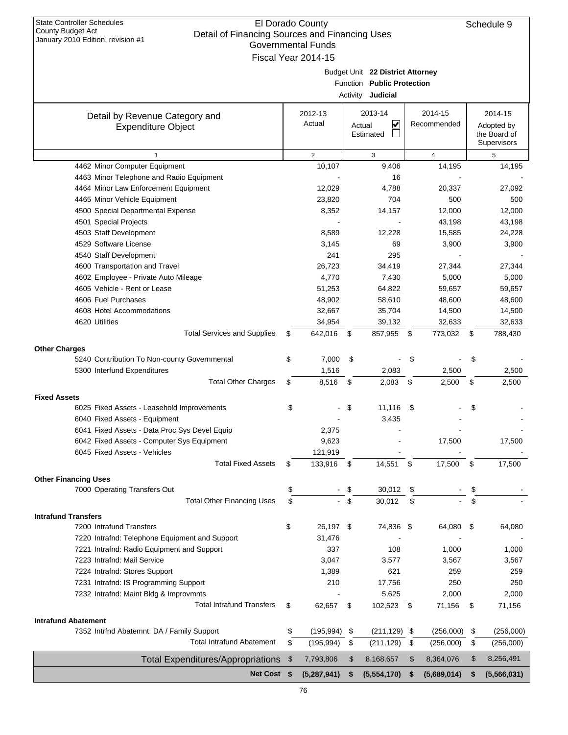| January 2010 Edition, revision #1              |     | Governmental Funds       |               |                                  |      |                          |     |              |
|------------------------------------------------|-----|--------------------------|---------------|----------------------------------|------|--------------------------|-----|--------------|
|                                                |     | Fiscal Year 2014-15      |               |                                  |      |                          |     |              |
|                                                |     |                          |               | Budget Unit 22 District Attorney |      |                          |     |              |
|                                                |     |                          |               | Function Public Protection       |      |                          |     |              |
|                                                |     |                          |               | Activity <b>Judicial</b>         |      |                          |     |              |
| Detail by Revenue Category and                 |     | 2012-13                  |               | 2013-14                          |      | 2014-15                  |     | 2014-15      |
| <b>Expenditure Object</b>                      |     | Actual                   |               | V<br>Actual                      |      | Recommended              |     | Adopted by   |
|                                                |     |                          |               | Estimated                        |      |                          |     | the Board of |
|                                                |     |                          |               |                                  |      |                          |     | Supervisors  |
| $\mathbf{1}$<br>4462 Minor Computer Equipment  |     | $\overline{2}$<br>10,107 |               | 3                                |      | $\overline{4}$<br>14,195 |     | 5            |
| 4463 Minor Telephone and Radio Equipment       |     |                          |               | 9,406<br>16                      |      |                          |     | 14,195       |
| 4464 Minor Law Enforcement Equipment           |     | 12,029                   |               | 4,788                            |      | 20,337                   |     | 27,092       |
| 4465 Minor Vehicle Equipment                   |     | 23,820                   |               | 704                              |      | 500                      |     | 500          |
| 4500 Special Departmental Expense              |     | 8,352                    |               | 14,157                           |      | 12,000                   |     | 12,000       |
| 4501 Special Projects                          |     |                          |               |                                  |      | 43,198                   |     | 43,198       |
| 4503 Staff Development                         |     | 8,589                    |               | 12,228                           |      | 15,585                   |     | 24,228       |
| 4529 Software License                          |     | 3,145                    |               | 69                               |      | 3,900                    |     | 3,900        |
| 4540 Staff Development                         |     | 241                      |               | 295                              |      |                          |     |              |
| 4600 Transportation and Travel                 |     | 26,723                   |               | 34,419                           |      | 27,344                   |     | 27,344       |
| 4602 Employee - Private Auto Mileage           |     | 4,770                    |               | 7,430                            |      | 5,000                    |     | 5,000        |
| 4605 Vehicle - Rent or Lease                   |     | 51,253                   |               | 64,822                           |      | 59,657                   |     | 59,657       |
| 4606 Fuel Purchases                            |     | 48,902                   |               | 58,610                           |      | 48,600                   |     | 48,600       |
| 4608 Hotel Accommodations                      |     | 32,667                   |               | 35,704                           |      | 14,500                   |     | 14,500       |
| 4620 Utilities                                 |     | 34,954                   |               | 39,132                           |      | 32,633                   |     | 32,633       |
| <b>Total Services and Supplies</b>             | \$  | 642,016                  | \$            | 857,955                          | \$   | 773,032                  | \$  | 788,430      |
| <b>Other Charges</b>                           |     |                          |               |                                  |      |                          |     |              |
| 5240 Contribution To Non-county Governmental   | \$  | 7,000                    | \$            |                                  | \$   |                          | \$  |              |
| 5300 Interfund Expenditures                    |     | 1,516                    |               | 2,083                            |      | 2,500                    |     | 2,500        |
| <b>Total Other Charges</b>                     | \$  | 8,516                    | $\mathfrak s$ | 2,083                            | \$   | 2,500                    | \$  | 2,500        |
| <b>Fixed Assets</b>                            |     |                          |               |                                  |      |                          |     |              |
| 6025 Fixed Assets - Leasehold Improvements     | \$  |                          | \$            | $11,116$ \$                      |      |                          | \$  |              |
| 6040 Fixed Assets - Equipment                  |     |                          |               | 3,435                            |      |                          |     |              |
| 6041 Fixed Assets - Data Proc Sys Devel Equip  |     | 2,375                    |               |                                  |      |                          |     |              |
| 6042 Fixed Assets - Computer Sys Equipment     |     | 9,623                    |               |                                  |      | 17,500                   |     | 17,500       |
| 6045 Fixed Assets - Vehicles                   |     | 121,919                  |               |                                  |      |                          |     |              |
| <b>Total Fixed Assets</b>                      | S   | 133,916                  | \$            | 14,551                           | \$   | 17,500                   | \$  | 17,500       |
| <b>Other Financing Uses</b>                    |     |                          |               |                                  |      |                          |     |              |
| 7000 Operating Transfers Out                   | \$  |                          | \$            | 30,012                           | \$   |                          | \$  |              |
| <b>Total Other Financing Uses</b>              | \$  |                          | \$            | 30,012                           | \$   |                          | \$  |              |
| <b>Intrafund Transfers</b>                     |     |                          |               |                                  |      |                          |     |              |
| 7200 Intrafund Transfers                       | \$  | 26,197 \$                |               | 74,836 \$                        |      | 64,080                   | -\$ | 64,080       |
| 7220 Intrafnd: Telephone Equipment and Support |     | 31,476                   |               |                                  |      |                          |     |              |
| 7221 Intrafnd: Radio Equipment and Support     |     | 337                      |               | 108                              |      | 1,000                    |     | 1,000        |
| 7223 Intrafnd: Mail Service                    |     | 3,047                    |               | 3,577                            |      | 3,567                    |     | 3,567        |
| 7224 Intrafnd: Stores Support                  |     | 1,389                    |               | 621                              |      | 259                      |     | 259          |
| 7231 Intrafnd: IS Programming Support          |     | 210                      |               | 17,756                           |      | 250                      |     | 250          |
| 7232 Intrafnd: Maint Bldg & Improvmnts         |     |                          |               | 5,625                            |      | 2,000                    |     | 2,000        |
| <b>Total Intrafund Transfers</b>               | \$  | 62,657 \$                |               | 102,523                          | - \$ | 71,156                   | \$  | 71,156       |
| <b>Intrafund Abatement</b>                     |     |                          |               |                                  |      |                          |     |              |
| 7352 Intrfnd Abatemnt: DA / Family Support     | \$  | (195, 994)               | \$            | $(211, 129)$ \$                  |      | (256,000)                | \$  | (256,000)    |
| <b>Total Intrafund Abatement</b>               | \$  | (195, 994)               | \$            | (211, 129)                       | \$   | (256,000)                | \$  | (256,000)    |
|                                                |     |                          |               |                                  |      |                          | \$  | 8,256,491    |
| <b>Total Expenditures/Appropriations</b>       | \$  | 7,793,806                | \$            | 8,168,657                        | \$   | 8,364,076                |     |              |
| <b>Net Cost</b>                                | -\$ | (5,287,941)              | \$            | (5,554,170)                      | S    | (5,689,014)              | \$  | (5,566,031)  |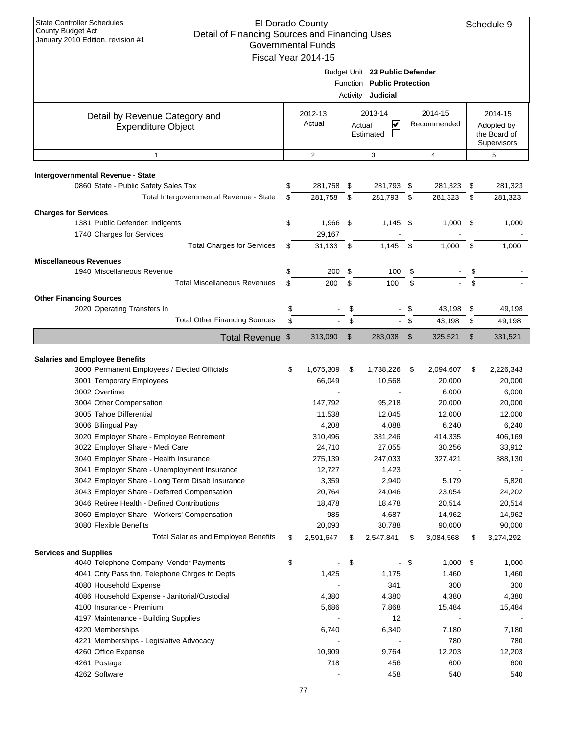| <b>State Controller Schedules</b><br><b>County Budget Act</b><br>Detail of Financing Sources and Financing Uses<br>January 2010 Edition, revision #1 |          | El Dorado County<br><b>Governmental Funds</b><br>Fiscal Year 2014-15 |          |                                                                                   |          |                        |          | Schedule 9                                           |
|------------------------------------------------------------------------------------------------------------------------------------------------------|----------|----------------------------------------------------------------------|----------|-----------------------------------------------------------------------------------|----------|------------------------|----------|------------------------------------------------------|
|                                                                                                                                                      |          |                                                                      |          | Budget Unit 23 Public Defender<br>Function Public Protection<br>Activity Judicial |          |                        |          |                                                      |
| Detail by Revenue Category and<br><b>Expenditure Object</b>                                                                                          |          | 2012-13<br>Actual                                                    | Actual   | 2013-14<br>V<br>Estimated                                                         |          | 2014-15<br>Recommended |          | 2014-15<br>Adopted by<br>the Board of<br>Supervisors |
| $\mathbf{1}$                                                                                                                                         |          | $\overline{2}$                                                       |          | 3                                                                                 |          | $\overline{4}$         |          | 5                                                    |
| Intergovernmental Revenue - State                                                                                                                    |          |                                                                      |          |                                                                                   |          |                        |          |                                                      |
| 0860 State - Public Safety Sales Tax<br>Total Intergovernmental Revenue - State                                                                      | \$<br>\$ | 281,758<br>281,758                                                   | \$<br>\$ | 281,793<br>281,793                                                                | \$<br>\$ | 281,323<br>281,323     | \$<br>\$ | 281,323<br>281,323                                   |
| <b>Charges for Services</b>                                                                                                                          |          |                                                                      |          |                                                                                   |          |                        |          |                                                      |
| 1381 Public Defender: Indigents                                                                                                                      | \$       | 1,966 \$                                                             |          | $1,145$ \$                                                                        |          | 1,000                  | \$       | 1,000                                                |
| 1740 Charges for Services<br><b>Total Charges for Services</b>                                                                                       | \$       | 29,167<br>31,133                                                     | \$       | 1,145                                                                             | \$       | 1,000                  | \$       | 1,000                                                |
|                                                                                                                                                      |          |                                                                      |          |                                                                                   |          |                        |          |                                                      |
| <b>Miscellaneous Revenues</b><br>1940 Miscellaneous Revenue                                                                                          | \$       | 200                                                                  | \$       | 100                                                                               | \$       |                        | \$       |                                                      |
| <b>Total Miscellaneous Revenues</b>                                                                                                                  | \$       | 200                                                                  | \$       | 100                                                                               | \$       |                        | \$       |                                                      |
| <b>Other Financing Sources</b>                                                                                                                       |          |                                                                      |          |                                                                                   |          |                        |          |                                                      |
| 2020 Operating Transfers In                                                                                                                          | \$       |                                                                      | \$       |                                                                                   | \$       | 43,198                 | \$       | 49,198                                               |
| <b>Total Other Financing Sources</b>                                                                                                                 | \$       |                                                                      | \$       | $\mathbf{L}^{\mathcal{A}}$                                                        | -\$      | 43,198                 | \$       | 49,198                                               |
| Total Revenue \$                                                                                                                                     |          | 313,090                                                              | \$       | 283,038                                                                           | \$       | 325,521                | \$       | 331,521                                              |
| <b>Salaries and Employee Benefits</b>                                                                                                                |          |                                                                      |          |                                                                                   |          |                        |          |                                                      |
| 3000 Permanent Employees / Elected Officials<br>3001 Temporary Employees                                                                             | \$       | 1,675,309<br>66,049                                                  | \$       | 1,738,226<br>10,568                                                               | \$       | 2,094,607<br>20,000    | \$       | 2,226,343<br>20,000                                  |
| 3002 Overtime                                                                                                                                        |          |                                                                      |          |                                                                                   |          | 6,000                  |          | 6,000                                                |
| 3004 Other Compensation                                                                                                                              |          | 147,792                                                              |          | 95,218                                                                            |          | 20,000                 |          | 20,000                                               |
| 3005 Tahoe Differential                                                                                                                              |          | 11,538                                                               |          | 12,045                                                                            |          | 12,000                 |          | 12,000                                               |
| 3006 Bilingual Pay                                                                                                                                   |          | 4,208                                                                |          | 4,088                                                                             |          | 6,240                  |          | 6,240                                                |
| 3020 Employer Share - Employee Retirement                                                                                                            |          | 310,496                                                              |          | 331,246                                                                           |          | 414,335                |          | 406,169                                              |
| 3022 Employer Share - Medi Care                                                                                                                      |          | 24,710                                                               |          | 27,055                                                                            |          | 30,256                 |          | 33,912                                               |
| 3040 Employer Share - Health Insurance                                                                                                               |          | 275,139                                                              |          | 247,033                                                                           |          | 327,421                |          | 388,130                                              |
| 3041 Employer Share - Unemployment Insurance                                                                                                         |          | 12,727                                                               |          | 1,423                                                                             |          |                        |          |                                                      |
| 3042 Employer Share - Long Term Disab Insurance                                                                                                      |          | 3,359                                                                |          | 2,940                                                                             |          | 5,179                  |          | 5,820                                                |
| 3043 Employer Share - Deferred Compensation                                                                                                          |          | 20,764                                                               |          | 24,046                                                                            |          | 23,054                 |          | 24,202                                               |
| 3046 Retiree Health - Defined Contributions<br>3060 Employer Share - Workers' Compensation                                                           |          | 18,478<br>985                                                        |          | 18,478<br>4,687                                                                   |          | 20,514<br>14,962       |          | 20,514<br>14,962                                     |
| 3080 Flexible Benefits                                                                                                                               |          | 20,093                                                               |          | 30,788                                                                            |          | 90,000                 |          | 90,000                                               |
| <b>Total Salaries and Employee Benefits</b>                                                                                                          | \$       | 2,591,647                                                            | \$       | 2,547,841                                                                         | \$       | 3,084,568              | \$       | 3,274,292                                            |
|                                                                                                                                                      |          |                                                                      |          |                                                                                   |          |                        |          |                                                      |
| <b>Services and Supplies</b><br>4040 Telephone Company Vendor Payments                                                                               | \$       |                                                                      | \$       | $\blacksquare$                                                                    | - \$     | $1,000$ \$             |          | 1,000                                                |
| 4041 Cnty Pass thru Telephone Chrges to Depts                                                                                                        |          | 1,425                                                                |          | 1,175                                                                             |          | 1,460                  |          | 1,460                                                |
| 4080 Household Expense                                                                                                                               |          |                                                                      |          | 341                                                                               |          | 300                    |          | 300                                                  |
| 4086 Household Expense - Janitorial/Custodial                                                                                                        |          | 4,380                                                                |          | 4,380                                                                             |          | 4,380                  |          | 4,380                                                |
| 4100 Insurance - Premium                                                                                                                             |          | 5,686                                                                |          | 7,868                                                                             |          | 15,484                 |          | 15,484                                               |
| 4197 Maintenance - Building Supplies                                                                                                                 |          |                                                                      |          | 12                                                                                |          |                        |          |                                                      |
| 4220 Memberships                                                                                                                                     |          | 6,740                                                                |          | 6,340                                                                             |          | 7,180                  |          | 7,180                                                |
| 4221 Memberships - Legislative Advocacy                                                                                                              |          |                                                                      |          |                                                                                   |          | 780                    |          | 780                                                  |
| 4260 Office Expense                                                                                                                                  |          | 10,909                                                               |          | 9,764                                                                             |          | 12,203                 |          | 12,203                                               |
| 4261 Postage<br>4262 Software                                                                                                                        |          | 718                                                                  |          | 456<br>458                                                                        |          | 600<br>540             |          | 600<br>540                                           |
|                                                                                                                                                      |          |                                                                      |          |                                                                                   |          |                        |          |                                                      |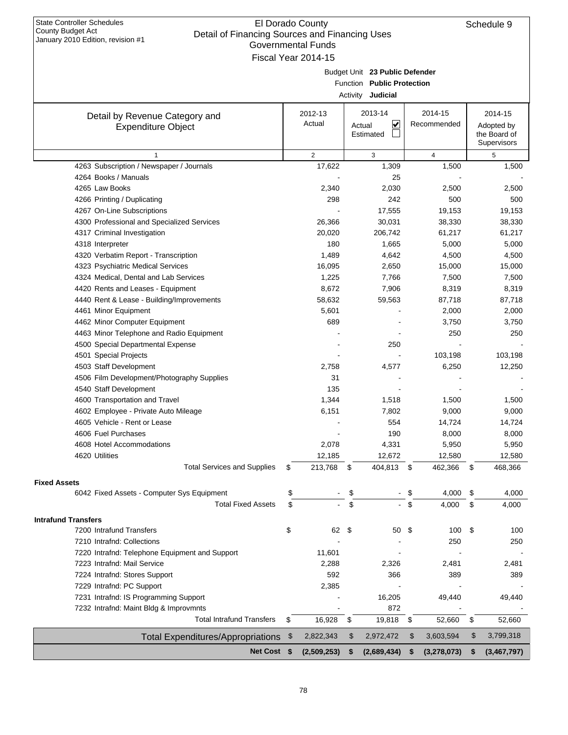| January 2010 Edition, revision #1                                 | Governmental Funds<br>Fiscal Year 2014-15 |                           |                                |      |                         |                   |
|-------------------------------------------------------------------|-------------------------------------------|---------------------------|--------------------------------|------|-------------------------|-------------------|
|                                                                   |                                           |                           |                                |      |                         |                   |
|                                                                   |                                           |                           | Budget Unit 23 Public Defender |      |                         |                   |
|                                                                   |                                           |                           | Function Public Protection     |      |                         |                   |
|                                                                   |                                           |                           | Activity <b>Judicial</b>       |      |                         |                   |
| Detail by Revenue Category and                                    | 2012-13                                   |                           | 2013-14                        |      | 2014-15                 | 2014-15           |
| <b>Expenditure Object</b>                                         | Actual                                    |                           | ⊻<br>Actual                    |      | Recommended             | Adopted by        |
|                                                                   |                                           |                           | Estimated                      |      |                         | the Board of      |
|                                                                   |                                           |                           |                                |      |                         | Supervisors       |
| 1<br>4263 Subscription / Newspaper / Journals                     | $\overline{2}$<br>17,622                  |                           | 3<br>1,309                     |      | $\overline{4}$<br>1,500 | 5<br>1,500        |
| 4264 Books / Manuals                                              |                                           |                           | 25                             |      |                         |                   |
| 4265 Law Books                                                    | 2,340                                     |                           | 2,030                          |      | 2,500                   | 2,500             |
| 4266 Printing / Duplicating                                       | 298                                       |                           | 242                            |      | 500                     | 500               |
| 4267 On-Line Subscriptions                                        |                                           |                           | 17,555                         |      | 19,153                  | 19,153            |
| 4300 Professional and Specialized Services                        | 26,366                                    |                           | 30,031                         |      | 38,330                  | 38,330            |
| 4317 Criminal Investigation                                       | 20,020                                    |                           | 206,742                        |      | 61,217                  | 61,217            |
| 4318 Interpreter                                                  | 180                                       |                           | 1,665                          |      | 5,000                   | 5,000             |
| 4320 Verbatim Report - Transcription                              | 1,489                                     |                           | 4,642                          |      | 4,500                   | 4,500             |
| 4323 Psychiatric Medical Services                                 | 16,095                                    |                           | 2,650                          |      | 15,000                  | 15,000            |
| 4324 Medical, Dental and Lab Services                             | 1,225                                     |                           | 7,766                          |      | 7,500                   | 7,500             |
| 4420 Rents and Leases - Equipment                                 | 8,672                                     |                           | 7,906                          |      | 8,319                   | 8,319             |
| 4440 Rent & Lease - Building/Improvements                         | 58,632                                    |                           | 59,563                         |      | 87,718                  | 87,718            |
| 4461 Minor Equipment                                              | 5,601                                     |                           |                                |      | 2,000                   | 2,000             |
| 4462 Minor Computer Equipment                                     | 689                                       |                           |                                |      | 3,750                   | 3,750             |
| 4463 Minor Telephone and Radio Equipment                          |                                           |                           |                                |      | 250                     | 250               |
| 4500 Special Departmental Expense                                 |                                           |                           | 250                            |      |                         |                   |
| 4501 Special Projects                                             |                                           |                           |                                |      | 103,198                 | 103,198           |
| 4503 Staff Development                                            | 2,758                                     |                           | 4,577                          |      | 6,250                   | 12,250            |
| 4506 Film Development/Photography Supplies                        | 31                                        |                           |                                |      |                         |                   |
| 4540 Staff Development                                            | 135                                       |                           |                                |      |                         |                   |
| 4600 Transportation and Travel                                    | 1,344                                     |                           | 1,518                          |      | 1,500                   | 1,500             |
| 4602 Employee - Private Auto Mileage                              | 6,151                                     |                           | 7,802                          |      | 9,000                   | 9,000             |
| 4605 Vehicle - Rent or Lease                                      |                                           |                           | 554                            |      | 14,724                  | 14,724            |
| 4606 Fuel Purchases                                               |                                           |                           | 190                            |      | 8,000                   | 8,000             |
| 4608 Hotel Accommodations                                         | 2,078                                     |                           | 4,331                          |      | 5,950                   | 5,950             |
| 4620 Utilities                                                    | 12,185                                    |                           | 12,672                         |      | 12,580                  | 12,580            |
| <b>Total Services and Supplies</b>                                | \$<br>213,768                             | \$                        | 404,813                        | - \$ | 462,366                 | \$<br>468,366     |
|                                                                   |                                           |                           |                                |      |                         |                   |
| <b>Fixed Assets</b><br>6042 Fixed Assets - Computer Sys Equipment | \$                                        |                           |                                | \$   | 4,000                   | \$<br>4,000       |
| <b>Total Fixed Assets</b>                                         | \$                                        | \$<br>\$                  |                                | \$   |                         | \$                |
|                                                                   |                                           |                           |                                |      | 4,000                   | 4,000             |
| <b>Intrafund Transfers</b>                                        |                                           |                           |                                |      |                         |                   |
| 7200 Intrafund Transfers                                          | \$<br>62                                  | - \$                      | 50                             | \$   | 100                     | \$<br>100         |
| 7210 Intrafnd: Collections                                        |                                           |                           |                                |      | 250                     | 250               |
| 7220 Intrafnd: Telephone Equipment and Support                    | 11,601                                    |                           |                                |      |                         |                   |
| 7223 Intrafnd: Mail Service                                       | 2,288                                     |                           | 2,326                          |      | 2,481                   | 2,481             |
| 7224 Intrafnd: Stores Support                                     | 592                                       |                           | 366                            |      | 389                     | 389               |
| 7229 Intrafnd: PC Support                                         | 2,385                                     |                           |                                |      |                         |                   |
| 7231 Intrafnd: IS Programming Support                             |                                           |                           | 16,205                         |      | 49,440                  | 49,440            |
| 7232 Intrafnd: Maint Bldg & Improvmnts                            |                                           |                           | 872                            |      |                         |                   |
| <b>Total Intrafund Transfers</b>                                  | \$<br>16,928                              | $\boldsymbol{\mathsf{S}}$ | 19,818 \$                      |      | 52,660                  | \$<br>52,660      |
| Total Expenditures/Appropriations                                 | \$<br>2,822,343                           | \$                        | 2,972,472                      | \$   | 3,603,594               | \$<br>3,799,318   |
| Net Cost \$                                                       | (2,509,253)                               | \$                        | (2,689,434)                    | \$   | (3,278,073)             | \$<br>(3,467,797) |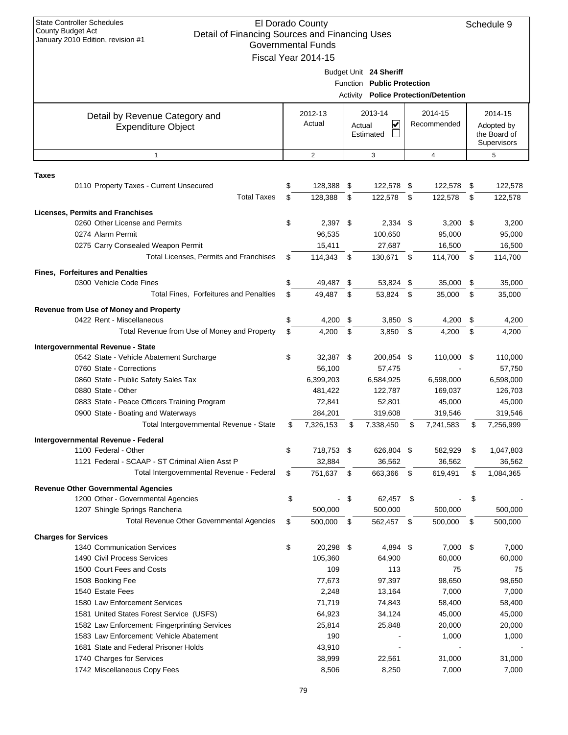| $\frac{1}{2}$<br>January 2010 Edition, revision #1                                 | Governmental Funds   |      |                            |      |                                      |      |                             |
|------------------------------------------------------------------------------------|----------------------|------|----------------------------|------|--------------------------------------|------|-----------------------------|
|                                                                                    | Fiscal Year 2014-15  |      | Budget Unit 24 Sheriff     |      |                                      |      |                             |
|                                                                                    |                      |      | Function Public Protection |      | Activity Police Protection/Detention |      |                             |
| Detail by Revenue Category and                                                     | 2012-13              |      | 2013-14                    |      | 2014-15                              |      | 2014-15                     |
| <b>Expenditure Object</b>                                                          | Actual               |      | ⊻<br>Actual                |      | Recommended                          |      | Adopted by                  |
|                                                                                    |                      |      | Estimated                  |      |                                      |      | the Board of<br>Supervisors |
| $\mathbf{1}$                                                                       | $\overline{2}$       |      | 3                          |      | 4                                    |      | 5                           |
| <b>Taxes</b>                                                                       |                      |      |                            |      |                                      |      |                             |
| 0110 Property Taxes - Current Unsecured                                            | \$<br>128,388 \$     |      | 122,578 \$                 |      | 122,578                              | - \$ | 122,578                     |
| <b>Total Taxes</b>                                                                 | \$<br>128,388        | \$   | 122,578                    | - \$ | 122,578                              | \$   | 122,578                     |
| Licenses, Permits and Franchises                                                   |                      |      |                            |      |                                      |      |                             |
| 0260 Other License and Permits                                                     | \$<br>$2,397$ \$     |      | $2,334$ \$                 |      | $3,200$ \$                           |      | 3,200                       |
| 0274 Alarm Permit                                                                  | 96,535               |      | 100,650                    |      | 95,000                               |      | 95,000                      |
| 0275 Carry Consealed Weapon Permit                                                 | 15,411               |      | 27,687                     |      | 16,500                               |      | 16,500                      |
| Total Licenses, Permits and Franchises                                             | \$<br>114,343        | - \$ | 130,671 \$                 |      | 114,700                              | - \$ | 114,700                     |
| <b>Fines, Forfeitures and Penalties</b>                                            |                      |      |                            |      |                                      |      |                             |
| 0300 Vehicle Code Fines                                                            | \$<br>49,487         | - \$ | 53,824 \$                  |      | 35,000                               | \$   | 35,000                      |
| Total Fines, Forfeitures and Penalties                                             | \$<br>49,487         | - \$ | 53,824                     | - \$ | 35,000                               | \$   | 35,000                      |
| <b>Revenue from Use of Money and Property</b>                                      |                      |      |                            |      |                                      |      |                             |
| 0422 Rent - Miscellaneous                                                          | \$<br>4,200 \$       |      | $3,850$ \$                 |      | 4,200                                | \$   | 4,200                       |
| Total Revenue from Use of Money and Property                                       | \$<br>4,200          | \$   | 3,850                      | \$   | 4,200                                | \$   | 4,200                       |
| Intergovernmental Revenue - State                                                  |                      |      |                            |      |                                      |      |                             |
| 0542 State - Vehicle Abatement Surcharge                                           | \$<br>32,387 \$      |      | 200,854 \$                 |      | 110,000                              | - \$ | 110,000                     |
| 0760 State - Corrections                                                           | 56,100               |      | 57,475                     |      |                                      |      | 57,750                      |
| 0860 State - Public Safety Sales Tax                                               | 6,399,203            |      | 6,584,925                  |      | 6,598,000                            |      | 6,598,000                   |
| 0880 State - Other                                                                 | 481,422              |      | 122,787                    |      | 169,037                              |      | 126,703                     |
| 0883 State - Peace Officers Training Program<br>0900 State - Boating and Waterways | 72,841<br>284,201    |      | 52,801                     |      | 45,000                               |      | 45,000                      |
| Total Intergovernmental Revenue - State                                            | \$<br>7,326,153      | \$   | 319,608<br>7,338,450       | \$   | 319,546<br>7,241,583                 | S    | 319,546<br>7,256,999        |
|                                                                                    |                      |      |                            |      |                                      |      |                             |
| Intergovernmental Revenue - Federal<br>1100 Federal - Other                        | \$<br>718,753        | \$   | 626,804                    | \$   | 582,929                              | \$   | 1,047,803                   |
| 1121 Federal - SCAAP - ST Criminal Alien Asst P                                    | 32,884               |      | 36,562                     |      | 36,562                               |      | 36,562                      |
| Total Intergovernmental Revenue - Federal                                          | \$<br>751,637 \$     |      | 663,366                    | - \$ | 619,491                              | \$   | 1,084,365                   |
| <b>Revenue Other Governmental Agencies</b>                                         |                      |      |                            |      |                                      |      |                             |
| 1200 Other - Governmental Agencies                                                 | \$<br>$\blacksquare$ | \$   | 62,457                     | -\$  |                                      | \$   |                             |
| 1207 Shingle Springs Rancheria                                                     | 500,000              |      | 500,000                    |      | 500,000                              |      | 500,000                     |
| <b>Total Revenue Other Governmental Agencies</b>                                   | \$<br>500,000        | \$   | 562,457 \$                 |      | 500,000                              | \$   | 500,000                     |
| <b>Charges for Services</b>                                                        |                      |      |                            |      |                                      |      |                             |
| 1340 Communication Services                                                        | \$<br>20,298 \$      |      | 4,894 \$                   |      | 7,000                                | - \$ | 7,000                       |
| 1490 Civil Process Services                                                        | 105,360              |      | 64,900                     |      | 60,000                               |      | 60,000                      |
| 1500 Court Fees and Costs                                                          | 109                  |      | 113                        |      | 75                                   |      | 75                          |
| 1508 Booking Fee                                                                   | 77,673               |      | 97,397                     |      | 98,650                               |      | 98,650                      |
| 1540 Estate Fees                                                                   | 2,248                |      | 13,164                     |      | 7,000                                |      | 7,000                       |
| 1580 Law Enforcement Services                                                      | 71,719               |      | 74,843                     |      | 58,400                               |      | 58,400                      |
| 1581 United States Forest Service (USFS)                                           | 64,923               |      | 34,124                     |      | 45,000                               |      | 45,000                      |
| 1582 Law Enforcement: Fingerprinting Services                                      | 25,814               |      | 25,848                     |      | 20,000                               |      | 20,000                      |
| 1583 Law Enforcement: Vehicle Abatement                                            | 190                  |      |                            |      | 1,000                                |      | 1,000                       |
| 1681 State and Federal Prisoner Holds                                              | 43,910               |      |                            |      |                                      |      |                             |
| 1740 Charges for Services                                                          | 38,999               |      | 22,561                     |      | 31,000                               |      | 31,000                      |
| 1742 Miscellaneous Copy Fees                                                       | 8,506                |      | 8,250                      |      | 7,000                                |      | 7,000                       |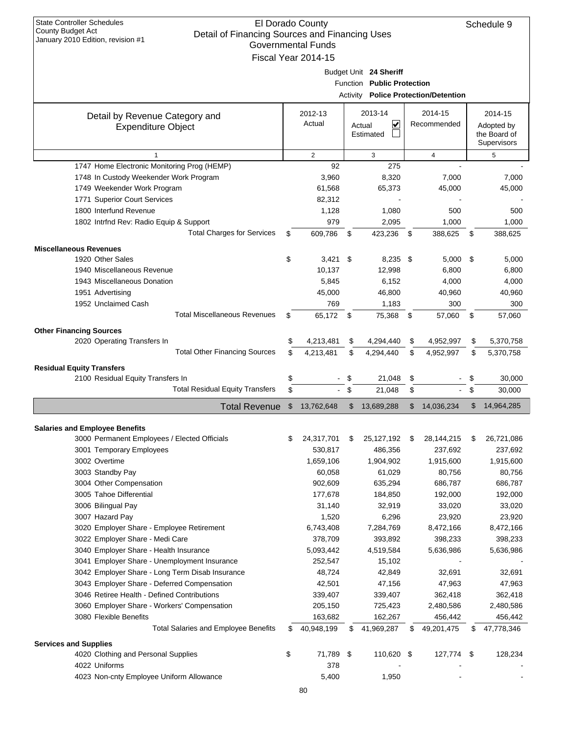|                                                      |    | Governmental Funds    |      |                            |     |                                      |      |                                                                                                                                                                                                                           |
|------------------------------------------------------|----|-----------------------|------|----------------------------|-----|--------------------------------------|------|---------------------------------------------------------------------------------------------------------------------------------------------------------------------------------------------------------------------------|
|                                                      |    | Fiscal Year 2014-15   |      |                            |     |                                      |      |                                                                                                                                                                                                                           |
|                                                      |    |                       |      | Budget Unit 24 Sheriff     |     |                                      |      |                                                                                                                                                                                                                           |
|                                                      |    |                       |      | Function Public Protection |     |                                      |      |                                                                                                                                                                                                                           |
|                                                      |    |                       |      |                            |     | Activity Police Protection/Detention |      |                                                                                                                                                                                                                           |
| Detail by Revenue Category and                       |    | 2012-13               |      | 2013-14                    |     | 2014-15                              |      | 2014-15                                                                                                                                                                                                                   |
| <b>Expenditure Object</b>                            |    | Actual                |      | ⊻<br>Actual                |     | Recommended                          |      | Adopted by                                                                                                                                                                                                                |
|                                                      |    |                       |      | Estimated                  |     |                                      |      | the Board of                                                                                                                                                                                                              |
|                                                      |    |                       |      |                            |     |                                      |      | Supervisors                                                                                                                                                                                                               |
| $\mathbf{1}$                                         |    | 2                     |      | 3                          |     | 4                                    |      | 5                                                                                                                                                                                                                         |
| 1747 Home Electronic Monitoring Prog (HEMP)          |    | 92                    |      | 275                        |     |                                      |      |                                                                                                                                                                                                                           |
| 1748 In Custody Weekender Work Program               |    | 3,960                 |      | 8,320                      |     | 7,000                                |      | 7,000                                                                                                                                                                                                                     |
| 1749 Weekender Work Program                          |    | 61,568                |      | 65,373                     |     | 45,000                               |      | 45,000                                                                                                                                                                                                                    |
| 1771 Superior Court Services                         |    | 82,312                |      |                            |     |                                      |      |                                                                                                                                                                                                                           |
| 1800 Interfund Revenue                               |    | 1,128                 |      | 1,080                      |     | 500                                  |      | 500                                                                                                                                                                                                                       |
| 1802 Intrfnd Rev: Radio Equip & Support              |    | 979                   |      | 2,095                      |     | 1,000                                |      | 1,000                                                                                                                                                                                                                     |
| <b>Total Charges for Services</b>                    | \$ | 609,786               | \$   | 423,236                    | \$  | 388,625                              | \$   | 388,625                                                                                                                                                                                                                   |
| <b>Miscellaneous Revenues</b>                        |    |                       |      |                            |     |                                      |      |                                                                                                                                                                                                                           |
| 1920 Other Sales                                     | \$ | $3,421$ \$            |      | $8,235$ \$                 |     | $5,000$ \$                           |      | 5,000                                                                                                                                                                                                                     |
| 1940 Miscellaneous Revenue                           |    | 10,137                |      | 12,998                     |     | 6,800                                |      | 6,800                                                                                                                                                                                                                     |
| 1943 Miscellaneous Donation                          |    | 5,845                 |      | 6,152                      |     | 4,000                                |      | 4,000                                                                                                                                                                                                                     |
| 1951 Advertising                                     |    | 45,000                |      | 46,800                     |     | 40,960                               |      | 40,960                                                                                                                                                                                                                    |
| 1952 Unclaimed Cash                                  |    | 769                   |      | 1,183                      |     | 300                                  |      | 300                                                                                                                                                                                                                       |
| <b>Total Miscellaneous Revenues</b>                  | \$ | 65,172 \$             |      | 75,368                     | -\$ | 57,060                               | \$   | 57,060                                                                                                                                                                                                                    |
| <b>Other Financing Sources</b>                       |    |                       |      |                            |     |                                      |      |                                                                                                                                                                                                                           |
| 2020 Operating Transfers In                          | \$ | 4,213,481             | \$   | 4,294,440                  | \$  | 4,952,997                            | \$   | 5,370,758                                                                                                                                                                                                                 |
| <b>Total Other Financing Sources</b>                 | \$ | 4,213,481             | \$   | 4,294,440                  | \$  | 4,952,997                            | \$   | 5,370,758                                                                                                                                                                                                                 |
|                                                      |    |                       |      |                            |     |                                      |      |                                                                                                                                                                                                                           |
| <b>Residual Equity Transfers</b>                     |    |                       |      |                            |     |                                      |      | 30,000                                                                                                                                                                                                                    |
|                                                      |    |                       |      |                            |     |                                      |      |                                                                                                                                                                                                                           |
| 2100 Residual Equity Transfers In                    | \$ |                       | \$   | 21,048                     | \$  |                                      | \$   |                                                                                                                                                                                                                           |
| <b>Total Residual Equity Transfers</b>               | \$ |                       | - \$ | 21,048                     | \$  |                                      | \$   | 30,000                                                                                                                                                                                                                    |
| <b>Total Revenue</b>                                 | \$ | 13,762,648            | \$   | 13,689,288                 | \$  | 14,036,234                           | \$   |                                                                                                                                                                                                                           |
| <b>Salaries and Employee Benefits</b>                |    |                       |      |                            |     |                                      |      |                                                                                                                                                                                                                           |
| 3000 Permanent Employees / Elected Officials         | S  | 24,317,701            | \$   | 25, 127, 192               | \$  | 28,144,215                           | \$   |                                                                                                                                                                                                                           |
| 3001 Temporary Employees                             |    | 530,817               |      | 486,356                    |     | 237,692                              |      |                                                                                                                                                                                                                           |
| 3002 Overtime                                        |    | 1,659,106             |      | 1,904,902                  |     | 1,915,600                            |      |                                                                                                                                                                                                                           |
| 3003 Standby Pay                                     |    | 60,058                |      | 61,029                     |     | 80,756                               |      |                                                                                                                                                                                                                           |
| 3004 Other Compensation                              |    | 902,609               |      | 635,294                    |     | 686,787                              |      |                                                                                                                                                                                                                           |
| 3005 Tahoe Differential                              |    | 177,678               |      | 184,850                    |     | 192,000                              |      |                                                                                                                                                                                                                           |
| 3006 Bilingual Pay                                   |    | 31,140                |      | 32,919                     |     | 33,020                               |      |                                                                                                                                                                                                                           |
| 3007 Hazard Pay                                      |    | 1,520                 |      | 6,296                      |     | 23,920                               |      |                                                                                                                                                                                                                           |
| 3020 Employer Share - Employee Retirement            |    | 6,743,408             |      | 7,284,769                  |     | 8,472,166                            |      |                                                                                                                                                                                                                           |
| 3022 Employer Share - Medi Care                      |    | 378,709               |      | 393,892                    |     | 398,233                              |      |                                                                                                                                                                                                                           |
| 3040 Employer Share - Health Insurance               |    | 5,093,442             |      | 4,519,584                  |     | 5,636,986                            |      |                                                                                                                                                                                                                           |
| 3041 Employer Share - Unemployment Insurance         |    | 252,547               |      | 15,102                     |     |                                      |      |                                                                                                                                                                                                                           |
| 3042 Employer Share - Long Term Disab Insurance      |    | 48,724                |      | 42,849                     |     | 32,691                               |      |                                                                                                                                                                                                                           |
| 3043 Employer Share - Deferred Compensation          |    | 42,501                |      | 47,156                     |     | 47,963                               |      |                                                                                                                                                                                                                           |
| 3046 Retiree Health - Defined Contributions          |    | 339,407               |      | 339,407                    |     | 362,418                              |      |                                                                                                                                                                                                                           |
| 3060 Employer Share - Workers' Compensation          |    | 205,150               |      | 725,423                    |     | 2,480,586                            |      |                                                                                                                                                                                                                           |
| 3080 Flexible Benefits                               |    |                       |      |                            |     | 456,442                              |      |                                                                                                                                                                                                                           |
| <b>Total Salaries and Employee Benefits</b>          | S  | 163,682<br>40,948,199 | \$   | 162,267<br>41,969,287      | S   | 49,201,475                           |      |                                                                                                                                                                                                                           |
|                                                      |    |                       |      |                            |     |                                      |      |                                                                                                                                                                                                                           |
| <b>Services and Supplies</b>                         |    |                       |      |                            |     |                                      |      |                                                                                                                                                                                                                           |
| 4020 Clothing and Personal Supplies<br>4022 Uniforms | \$ | 71,789 \$<br>378      |      | 110,620 \$                 |     | 127,774                              | - \$ | 14,964,285<br>26,721,086<br>237.692<br>1,915,600<br>80,756<br>686,787<br>192,000<br>33,020<br>23,920<br>8,472,166<br>398,233<br>5,636,986<br>32,691<br>47,963<br>362,418<br>2,480,586<br>456,442<br>47,778,346<br>128,234 |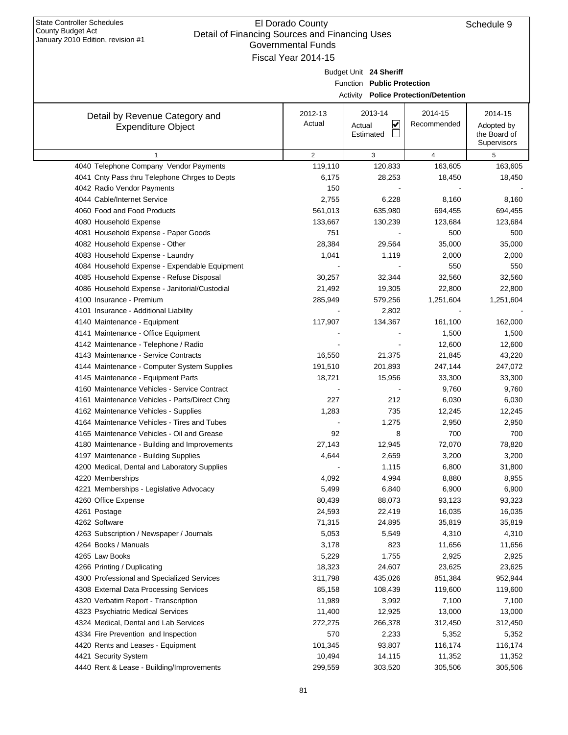| January 2010 Edition, revision #1             | <b>Governmental Funds</b> |                            |                                             |                            |
|-----------------------------------------------|---------------------------|----------------------------|---------------------------------------------|----------------------------|
|                                               | Fiscal Year 2014-15       |                            |                                             |                            |
|                                               |                           | Budget Unit 24 Sheriff     |                                             |                            |
|                                               |                           | Function Public Protection |                                             |                            |
|                                               |                           |                            | <b>Activity Police Protection/Detention</b> |                            |
|                                               |                           |                            |                                             |                            |
| Detail by Revenue Category and                | 2012-13<br>Actual         | 2013-14                    | 2014-15<br>Recommended                      | 2014-15                    |
| <b>Expenditure Object</b>                     |                           | ⊻<br>Actual<br>Estimated   |                                             | Adopted by<br>the Board of |
|                                               |                           |                            |                                             | Supervisors                |
| $\mathbf{1}$                                  | $\overline{2}$            | 3                          | $\overline{4}$                              | 5                          |
| 4040 Telephone Company Vendor Payments        | 119,110                   | 120,833                    | 163,605                                     | 163,605                    |
| 4041 Cnty Pass thru Telephone Chrges to Depts | 6,175                     | 28,253                     | 18,450                                      | 18,450                     |
| 4042 Radio Vendor Payments                    | 150                       |                            |                                             |                            |
| 4044 Cable/Internet Service                   | 2,755                     | 6,228                      | 8,160                                       | 8,160                      |
| 4060 Food and Food Products                   | 561,013                   | 635,980                    | 694,455                                     | 694,455                    |
| 4080 Household Expense                        | 133,667                   | 130,239                    | 123,684                                     | 123,684                    |
| 4081 Household Expense - Paper Goods          | 751                       |                            | 500                                         | 500                        |
| 4082 Household Expense - Other                | 28,384                    | 29,564                     | 35,000                                      | 35,000                     |
| 4083 Household Expense - Laundry              | 1,041                     | 1,119                      | 2,000                                       | 2,000                      |
| 4084 Household Expense - Expendable Equipment |                           |                            | 550                                         | 550                        |
| 4085 Household Expense - Refuse Disposal      | 30,257                    | 32,344                     | 32,560                                      | 32,560                     |
| 4086 Household Expense - Janitorial/Custodial | 21,492                    | 19,305                     | 22,800                                      | 22,800                     |
| 4100 Insurance - Premium                      | 285,949                   | 579,256                    | 1,251,604                                   | 1,251,604                  |
| 4101 Insurance - Additional Liability         |                           | 2,802                      |                                             |                            |
| 4140 Maintenance - Equipment                  | 117,907                   | 134,367                    | 161,100                                     | 162,000                    |
| 4141 Maintenance - Office Equipment           |                           |                            | 1,500                                       | 1,500                      |
| 4142 Maintenance - Telephone / Radio          |                           |                            | 12,600                                      | 12,600                     |
| 4143 Maintenance - Service Contracts          | 16,550                    | 21,375                     | 21,845                                      | 43,220                     |
| 4144 Maintenance - Computer System Supplies   | 191,510                   | 201,893                    | 247,144                                     | 247,072                    |
| 4145 Maintenance - Equipment Parts            | 18,721                    | 15,956                     | 33,300                                      | 33,300                     |
| 4160 Maintenance Vehicles - Service Contract  |                           |                            | 9,760                                       | 9,760                      |
| 4161 Maintenance Vehicles - Parts/Direct Chrg | 227                       | 212                        | 6,030                                       | 6,030                      |
| 4162 Maintenance Vehicles - Supplies          | 1,283                     | 735                        | 12,245                                      | 12,245                     |
| 4164 Maintenance Vehicles - Tires and Tubes   |                           | 1,275                      | 2,950                                       | 2,950                      |
| 4165 Maintenance Vehicles - Oil and Grease    | 92                        | 8                          | 700                                         | 700                        |
| 4180 Maintenance - Building and Improvements  | 27,143                    | 12,945                     | 72,070                                      | 78,820                     |
| 4197 Maintenance - Building Supplies          | 4,644                     | 2,659                      | 3,200                                       | 3,200                      |
| 4200 Medical, Dental and Laboratory Supplies  |                           | 1,115                      | 6,800                                       | 31,800                     |
| 4220 Memberships                              | 4,092                     | 4,994                      | 8,880                                       | 8,955                      |
| 4221 Memberships - Legislative Advocacy       | 5,499                     | 6,840                      | 6,900                                       | 6,900                      |
| 4260 Office Expense                           | 80,439                    | 88,073<br>22,419           | 93,123                                      | 93,323                     |
| 4261 Postage<br>4262 Software                 | 24,593<br>71,315          | 24,895                     | 16,035<br>35,819                            | 16,035<br>35,819           |
| 4263 Subscription / Newspaper / Journals      | 5,053                     | 5,549                      | 4,310                                       | 4,310                      |
| 4264 Books / Manuals                          | 3,178                     | 823                        | 11,656                                      | 11,656                     |
| 4265 Law Books                                | 5,229                     | 1,755                      | 2,925                                       | 2,925                      |
| 4266 Printing / Duplicating                   | 18,323                    | 24,607                     | 23,625                                      | 23,625                     |
| 4300 Professional and Specialized Services    | 311,798                   | 435,026                    | 851,384                                     | 952,944                    |
| 4308 External Data Processing Services        | 85,158                    | 108,439                    | 119,600                                     | 119,600                    |
| 4320 Verbatim Report - Transcription          | 11,989                    | 3,992                      | 7,100                                       | 7,100                      |
| 4323 Psychiatric Medical Services             | 11,400                    | 12,925                     | 13,000                                      | 13,000                     |
| 4324 Medical, Dental and Lab Services         | 272,275                   | 266,378                    | 312,450                                     | 312,450                    |
| 4334 Fire Prevention and Inspection           | 570                       | 2,233                      | 5,352                                       | 5,352                      |
| 4420 Rents and Leases - Equipment             | 101,345                   | 93,807                     | 116,174                                     | 116,174                    |
| 4421 Security System                          | 10,494                    | 14,115                     | 11,352                                      | 11,352                     |
| 4440 Rent & Lease - Building/Improvements     | 299,559                   | 303,520                    | 305,506                                     | 305,506                    |
|                                               |                           |                            |                                             |                            |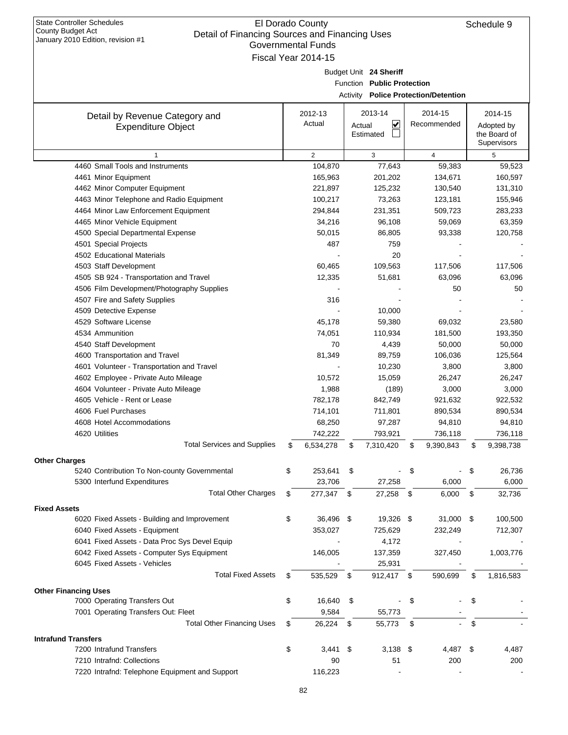| Detail Of Financing Sources and Financing Oses<br>January 2010 Edition, revision #1 | <b>Governmental Funds</b> |                            |                                             |     |                            |
|-------------------------------------------------------------------------------------|---------------------------|----------------------------|---------------------------------------------|-----|----------------------------|
|                                                                                     | Fiscal Year 2014-15       |                            |                                             |     |                            |
|                                                                                     |                           | Budget Unit 24 Sheriff     |                                             |     |                            |
|                                                                                     |                           | Function Public Protection |                                             |     |                            |
|                                                                                     |                           |                            | <b>Activity Police Protection/Detention</b> |     |                            |
|                                                                                     |                           |                            |                                             |     |                            |
| Detail by Revenue Category and                                                      | 2012-13                   | 2013-14                    | 2014-15                                     |     | 2014-15                    |
| <b>Expenditure Object</b>                                                           | Actual                    | ⊻<br>Actual<br>Estimated   | Recommended                                 |     | Adopted by<br>the Board of |
|                                                                                     |                           |                            |                                             |     | Supervisors                |
| 1                                                                                   | $\overline{2}$            | 3                          | $\overline{4}$                              |     | 5                          |
| 4460 Small Tools and Instruments                                                    | 104,870                   | 77,643                     | 59,383                                      |     | 59,523                     |
| 4461 Minor Equipment                                                                | 165,963                   | 201,202                    | 134,671                                     |     | 160,597                    |
| 4462 Minor Computer Equipment                                                       | 221,897                   | 125,232                    | 130,540                                     |     | 131,310                    |
| 4463 Minor Telephone and Radio Equipment                                            | 100,217                   | 73,263                     | 123,181                                     |     | 155,946                    |
| 4464 Minor Law Enforcement Equipment                                                | 294,844                   | 231,351                    | 509,723                                     |     | 283,233                    |
| 4465 Minor Vehicle Equipment                                                        | 34,216                    | 96,108                     | 59,069                                      |     | 63,359                     |
| 4500 Special Departmental Expense                                                   | 50,015                    | 86,805                     | 93,338                                      |     | 120,758                    |
| 4501 Special Projects                                                               | 487                       | 759                        |                                             |     |                            |
| 4502 Educational Materials                                                          |                           | 20                         |                                             |     |                            |
| 4503 Staff Development                                                              | 60,465                    | 109,563                    | 117,506                                     |     | 117,506                    |
| 4505 SB 924 - Transportation and Travel                                             | 12,335                    | 51,681                     | 63,096                                      |     | 63,096                     |
| 4506 Film Development/Photography Supplies                                          |                           |                            | 50                                          |     | 50                         |
| 4507 Fire and Safety Supplies                                                       | 316                       |                            |                                             |     |                            |
| 4509 Detective Expense                                                              |                           | 10,000                     |                                             |     |                            |
| 4529 Software License                                                               | 45,178                    | 59,380                     | 69,032                                      |     | 23,580                     |
| 4534 Ammunition                                                                     | 74,051                    | 110,934                    | 181,500                                     |     | 193,350                    |
| 4540 Staff Development                                                              | 70                        | 4,439                      | 50,000                                      |     | 50,000                     |
| 4600 Transportation and Travel                                                      | 81,349                    | 89,759                     | 106,036                                     |     | 125,564                    |
| 4601 Volunteer - Transportation and Travel                                          |                           | 10,230                     | 3,800                                       |     | 3,800                      |
| 4602 Employee - Private Auto Mileage                                                | 10,572                    | 15,059                     | 26,247                                      |     | 26,247                     |
| 4604 Volunteer - Private Auto Mileage                                               | 1,988                     | (189)                      | 3,000                                       |     | 3,000                      |
| 4605 Vehicle - Rent or Lease                                                        | 782,178                   | 842,749                    | 921,632                                     |     | 922,532                    |
| 4606 Fuel Purchases                                                                 | 714,101                   | 711,801                    | 890,534                                     |     | 890,534                    |
| 4608 Hotel Accommodations                                                           | 68,250                    | 97,287                     | 94,810                                      |     | 94,810                     |
| 4620 Utilities                                                                      | 742,222                   | 793,921                    | 736,118                                     |     | 736,118                    |
| <b>Total Services and Supplies</b>                                                  | \$<br>6,534,278           | \$<br>7,310,420            | \$<br>9,390,843                             | \$  | 9,398,738                  |
| <b>Other Charges</b>                                                                |                           |                            |                                             |     |                            |
| 5240 Contribution To Non-county Governmental                                        | \$<br>253,641             | \$                         | \$                                          | -\$ | 26,736                     |
| 5300 Interfund Expenditures                                                         | 23,706                    | 27,258                     | 6,000                                       |     | 6,000                      |
| <b>Total Other Charges</b>                                                          | \$<br>277,347 \$          | 27,258 \$                  | 6,000                                       | \$  | 32,736                     |
| <b>Fixed Assets</b>                                                                 |                           |                            |                                             |     |                            |
| 6020 Fixed Assets - Building and Improvement                                        | \$<br>36,496 \$           | 19,326 \$                  | 31,000 \$                                   |     | 100,500                    |
| 6040 Fixed Assets - Equipment                                                       | 353,027                   | 725,629                    | 232,249                                     |     | 712,307                    |
| 6041 Fixed Assets - Data Proc Sys Devel Equip                                       |                           | 4,172                      |                                             |     |                            |
| 6042 Fixed Assets - Computer Sys Equipment                                          | 146,005                   | 137,359                    | 327,450                                     |     | 1,003,776                  |
| 6045 Fixed Assets - Vehicles                                                        |                           | 25,931                     |                                             |     |                            |
| <b>Total Fixed Assets</b>                                                           | \$<br>535,529             | \$<br>912,417 \$           | 590,699                                     | \$  | 1,816,583                  |
|                                                                                     |                           |                            |                                             |     |                            |
| <b>Other Financing Uses</b>                                                         | \$<br>16,640              | \$                         | \$                                          | \$  |                            |
| 7000 Operating Transfers Out<br>7001 Operating Transfers Out: Fleet                 | 9,584                     | 55,773                     |                                             |     |                            |
| <b>Total Other Financing Uses</b>                                                   | \$<br>26,224 \$           |                            | \$                                          | \$  |                            |
|                                                                                     |                           | 55,773                     |                                             |     |                            |
| <b>Intrafund Transfers</b>                                                          |                           |                            |                                             |     |                            |
| 7200 Intrafund Transfers                                                            | \$<br>$3,441$ \$          | $3,138$ \$                 | 4,487 \$                                    |     | 4,487                      |
| 7210 Intrafnd: Collections                                                          | 90                        | 51                         | 200                                         |     | 200                        |
| 7220 Intrafnd: Telephone Equipment and Support                                      | 116,223                   |                            |                                             |     |                            |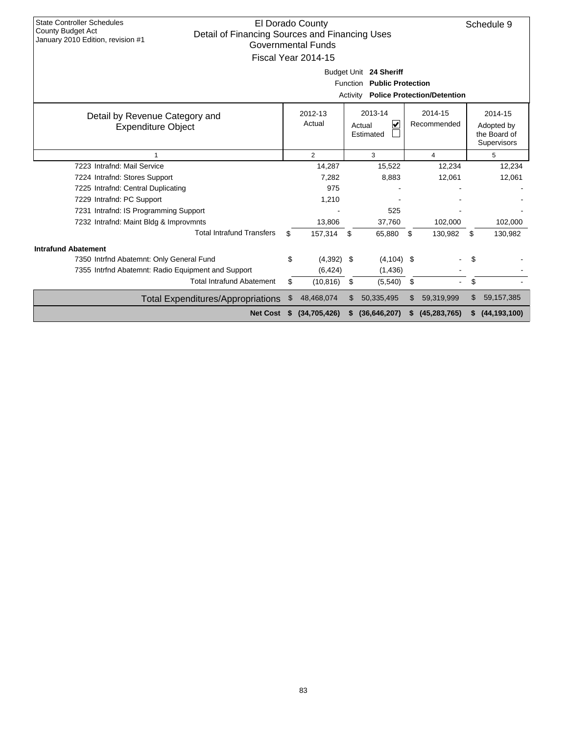| <b>State Controller Schedules</b><br><b>County Budget Act</b><br>Detail of Financing Sources and Financing Uses<br>January 2010 Edition, revision #1 |    | El Dorado County<br><b>Governmental Funds</b><br>Fiscal Year 2014-15 | Activity         | Budget Unit 24 Sheriff<br>Function Public Protection |    | <b>Police Protection/Detention</b> |     | Schedule 9                                           |
|------------------------------------------------------------------------------------------------------------------------------------------------------|----|----------------------------------------------------------------------|------------------|------------------------------------------------------|----|------------------------------------|-----|------------------------------------------------------|
| 2014-15<br>2013-14<br>2012-13<br>Detail by Revenue Category and<br>Actual<br>V<br>Recommended<br>Actual<br><b>Expenditure Object</b><br>Estimated    |    |                                                                      |                  |                                                      |    |                                    |     | 2014-15<br>Adopted by<br>the Board of<br>Supervisors |
| 1                                                                                                                                                    |    | 2                                                                    |                  | 3                                                    |    | 5                                  |     |                                                      |
| 7223 Intrafnd: Mail Service                                                                                                                          |    | 14,287                                                               | 12,234<br>15,522 |                                                      |    |                                    |     | 12,234                                               |
| 7224 Intrafnd: Stores Support                                                                                                                        |    | 7.282                                                                |                  | 8,883                                                |    | 12,061                             |     | 12,061                                               |
| 7225 Intrafnd: Central Duplicating                                                                                                                   |    | 975                                                                  |                  |                                                      |    |                                    |     |                                                      |
| 7229 Intrafnd: PC Support                                                                                                                            |    | 1,210                                                                |                  |                                                      |    |                                    |     |                                                      |
| 7231 Intrafnd: IS Programming Support                                                                                                                |    |                                                                      |                  | 525                                                  |    |                                    |     |                                                      |
| 7232 Intrafnd: Maint Bldg & Improvmnts                                                                                                               |    | 13,806                                                               |                  | 37.760                                               |    | 102,000                            |     | 102,000                                              |
| <b>Total Intrafund Transfers</b>                                                                                                                     | \$ | 157,314                                                              | - \$             | 65,880                                               | \$ | 130,982                            | \$  | 130,982                                              |
| <b>Intrafund Abatement</b>                                                                                                                           |    |                                                                      |                  |                                                      |    |                                    |     |                                                      |
| 7350 Intrfnd Abatemnt: Only General Fund                                                                                                             | \$ | $(4,392)$ \$                                                         |                  | $(4, 104)$ \$                                        |    |                                    |     |                                                      |
| 7355 Intrfnd Abatemnt: Radio Equipment and Support                                                                                                   |    | (6, 424)                                                             |                  | (1, 436)                                             |    |                                    |     |                                                      |
| <b>Total Intrafund Abatement</b>                                                                                                                     | \$ | (10, 816)                                                            | \$               | (5,540)                                              | \$ |                                    | \$  |                                                      |
| <b>Total Expenditures/Appropriations</b>                                                                                                             | \$ | 48,468,074                                                           | \$.              | 50,335,495                                           | \$ | 59,319,999                         | \$. | 59, 157, 385                                         |
| <b>Net Cost</b>                                                                                                                                      | s. | (34,705,426)                                                         |                  | (36,646,207)                                         | S. | (45, 283, 765)                     | S   | (44, 193, 100)                                       |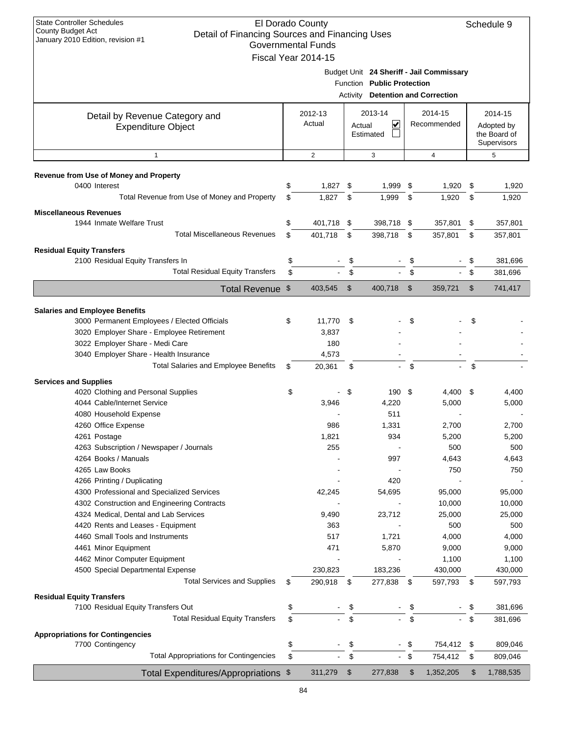| <b>State Controller Schedules</b><br>El Dorado County<br>Schedule 9<br><b>County Budget Act</b><br>Detail of Financing Sources and Financing Uses<br>January 2010 Edition, revision #1<br><b>Governmental Funds</b><br>Fiscal Year 2014-15 |    |                   |          |                            |                           |                                                                             |      |                                                      |
|--------------------------------------------------------------------------------------------------------------------------------------------------------------------------------------------------------------------------------------------|----|-------------------|----------|----------------------------|---------------------------|-----------------------------------------------------------------------------|------|------------------------------------------------------|
|                                                                                                                                                                                                                                            |    |                   | Activity | Function Public Protection |                           | Budget Unit 24 Sheriff - Jail Commissary<br><b>Detention and Correction</b> |      |                                                      |
| Detail by Revenue Category and<br><b>Expenditure Object</b>                                                                                                                                                                                |    | 2012-13<br>Actual | Actual   | 2013-14<br>⊻<br>Estimated  |                           | 2014-15<br>Recommended                                                      |      | 2014-15<br>Adopted by<br>the Board of<br>Supervisors |
| $\mathbf{1}$                                                                                                                                                                                                                               |    | 2                 |          | 3                          |                           | 4                                                                           |      | 5                                                    |
| Revenue from Use of Money and Property                                                                                                                                                                                                     |    |                   |          |                            |                           |                                                                             |      |                                                      |
| 0400 Interest                                                                                                                                                                                                                              | \$ | 1,827             | -\$      | 1,999 \$                   |                           | 1,920                                                                       | \$   | 1,920                                                |
| Total Revenue from Use of Money and Property                                                                                                                                                                                               | \$ | 1,827             | \$       | 1,999                      | \$                        | 1,920                                                                       | \$   | 1,920                                                |
| <b>Miscellaneous Revenues</b>                                                                                                                                                                                                              |    |                   |          |                            |                           |                                                                             |      |                                                      |
| 1944 Inmate Welfare Trust                                                                                                                                                                                                                  | \$ | 401,718 \$        |          | 398,718                    | \$                        | 357,801                                                                     | \$   | 357,801                                              |
| <b>Total Miscellaneous Revenues</b>                                                                                                                                                                                                        | \$ | 401,718           | \$       | 398,718                    | \$                        | 357,801                                                                     | \$   | 357,801                                              |
| <b>Residual Equity Transfers</b>                                                                                                                                                                                                           |    |                   |          |                            |                           |                                                                             |      |                                                      |
| 2100 Residual Equity Transfers In                                                                                                                                                                                                          | \$ |                   | \$       |                            | \$                        |                                                                             | \$   | 381,696                                              |
| <b>Total Residual Equity Transfers</b>                                                                                                                                                                                                     | \$ |                   | \$       | $\blacksquare$             | \$                        | $\sim$                                                                      | \$   | 381,696                                              |
| Total Revenue \$                                                                                                                                                                                                                           |    | 403,545           | \$       | 400,718                    | $\boldsymbol{\mathsf{S}}$ | 359,721                                                                     | \$   | 741,417                                              |
|                                                                                                                                                                                                                                            |    |                   |          |                            |                           |                                                                             |      |                                                      |
| <b>Salaries and Employee Benefits</b><br>3000 Permanent Employees / Elected Officials                                                                                                                                                      | \$ | 11,770            | - \$     |                            | \$                        |                                                                             | \$   |                                                      |
| 3020 Employer Share - Employee Retirement                                                                                                                                                                                                  |    | 3,837             |          |                            |                           |                                                                             |      |                                                      |
| 3022 Employer Share - Medi Care                                                                                                                                                                                                            |    | 180               |          |                            |                           |                                                                             |      |                                                      |
| 3040 Employer Share - Health Insurance                                                                                                                                                                                                     |    | 4,573             |          |                            |                           |                                                                             |      |                                                      |
| <b>Total Salaries and Employee Benefits</b>                                                                                                                                                                                                | \$ | 20,361            | \$       |                            | \$                        |                                                                             | \$   |                                                      |
| <b>Services and Supplies</b>                                                                                                                                                                                                               |    |                   |          |                            |                           |                                                                             |      |                                                      |
| 4020 Clothing and Personal Supplies                                                                                                                                                                                                        | \$ |                   | \$       | 190 \$                     |                           | 4,400                                                                       | - \$ | 4,400                                                |
| 4044 Cable/Internet Service                                                                                                                                                                                                                |    | 3,946             |          | 4,220                      |                           | 5,000                                                                       |      | 5,000                                                |
| 4080 Household Expense                                                                                                                                                                                                                     |    |                   |          | 511                        |                           |                                                                             |      |                                                      |
| 4260 Office Expense<br>4261 Postage                                                                                                                                                                                                        |    | 986<br>1,821      |          | 1,331<br>934               |                           | 2,700<br>5,200                                                              |      | 2,700<br>5,200                                       |
| 4263 Subscription / Newspaper / Journals                                                                                                                                                                                                   |    | 255               |          |                            |                           | 500                                                                         |      | 500                                                  |
| 4264 Books / Manuals                                                                                                                                                                                                                       |    |                   |          | 997                        |                           | 4,643                                                                       |      | 4,643                                                |
| 4265 Law Books                                                                                                                                                                                                                             |    |                   |          |                            |                           | 750                                                                         |      | 750                                                  |
| 4266 Printing / Duplicating                                                                                                                                                                                                                |    |                   |          | 420                        |                           |                                                                             |      |                                                      |
| 4300 Professional and Specialized Services                                                                                                                                                                                                 |    | 42,245            |          | 54,695                     |                           | 95,000                                                                      |      | 95,000                                               |
| 4302 Construction and Engineering Contracts                                                                                                                                                                                                |    |                   |          |                            |                           | 10,000                                                                      |      | 10,000                                               |
| 4324 Medical, Dental and Lab Services                                                                                                                                                                                                      |    | 9,490             |          | 23,712                     |                           | 25,000                                                                      |      | 25,000                                               |
| 4420 Rents and Leases - Equipment<br>4460 Small Tools and Instruments                                                                                                                                                                      |    | 363<br>517        |          | 1,721                      |                           | 500<br>4,000                                                                |      | 500<br>4,000                                         |
| 4461 Minor Equipment                                                                                                                                                                                                                       |    | 471               |          | 5,870                      |                           | 9,000                                                                       |      | 9,000                                                |
| 4462 Minor Computer Equipment                                                                                                                                                                                                              |    |                   |          |                            |                           | 1,100                                                                       |      | 1,100                                                |
| 4500 Special Departmental Expense                                                                                                                                                                                                          |    | 230,823           |          | 183,236                    |                           | 430,000                                                                     |      | 430,000                                              |
| <b>Total Services and Supplies</b>                                                                                                                                                                                                         | \$ | 290,918           | \$       | 277,838                    | \$                        | 597,793                                                                     | \$   | 597,793                                              |
| <b>Residual Equity Transfers</b>                                                                                                                                                                                                           |    |                   |          |                            |                           |                                                                             |      |                                                      |
| 7100 Residual Equity Transfers Out                                                                                                                                                                                                         | \$ |                   | \$       |                            | \$                        |                                                                             | \$   | 381,696                                              |
| <b>Total Residual Equity Transfers</b>                                                                                                                                                                                                     | \$ |                   | \$       |                            | \$                        |                                                                             | \$   | 381,696                                              |
| <b>Appropriations for Contingencies</b>                                                                                                                                                                                                    |    |                   |          |                            |                           |                                                                             |      |                                                      |
| 7700 Contingency                                                                                                                                                                                                                           | \$ |                   | \$       | $\overline{a}$             | \$                        | 754,412 \$                                                                  |      | 809,046                                              |
| <b>Total Appropriations for Contingencies</b>                                                                                                                                                                                              | \$ |                   | \$       | $\sim$                     | \$                        | 754,412                                                                     | \$   | 809,046                                              |
| Total Expenditures/Appropriations \$                                                                                                                                                                                                       |    | 311,279           | \$       | 277,838                    | \$                        | 1,352,205                                                                   | \$   | 1,788,535                                            |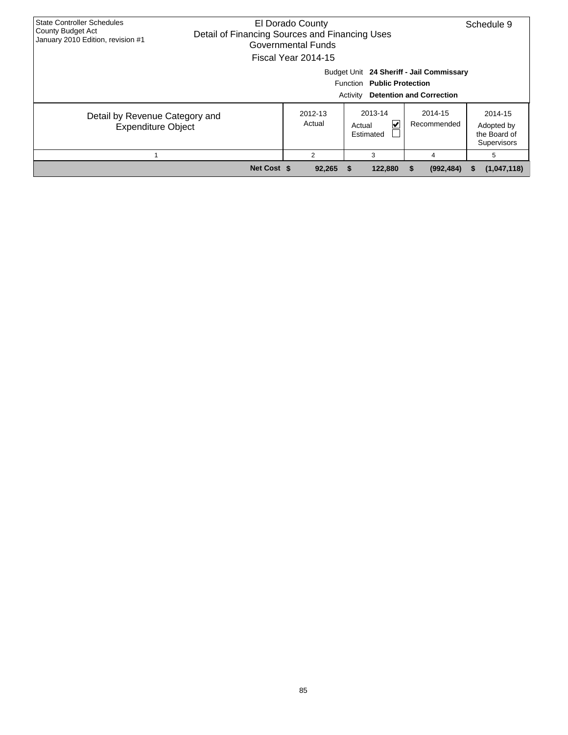| <b>State Controller Schedules</b>                           |                                                                                                                               |                   |                                                      |                                                                             |                                                      |  |  |  |  |  |
|-------------------------------------------------------------|-------------------------------------------------------------------------------------------------------------------------------|-------------------|------------------------------------------------------|-----------------------------------------------------------------------------|------------------------------------------------------|--|--|--|--|--|
| County Budget Act<br>January 2010 Edition, revision #1      | El Dorado County<br>Schedule 9<br>Detail of Financing Sources and Financing Uses<br>Governmental Funds<br>Fiscal Year 2014-15 |                   |                                                      |                                                                             |                                                      |  |  |  |  |  |
|                                                             |                                                                                                                               |                   | Function Public Protection<br>Activity               | Budget Unit 24 Sheriff - Jail Commissary<br><b>Detention and Correction</b> |                                                      |  |  |  |  |  |
| Detail by Revenue Category and<br><b>Expenditure Object</b> |                                                                                                                               | 2012-13<br>Actual | 2013-14<br>$\vert \checkmark$<br>Actual<br>Estimated | 2014-15<br>Recommended                                                      | 2014-15<br>Adopted by<br>the Board of<br>Supervisors |  |  |  |  |  |
|                                                             |                                                                                                                               | 2                 | 3                                                    | 4                                                                           | 5                                                    |  |  |  |  |  |
|                                                             | Net Cost \$                                                                                                                   | 92,265            | 122,880                                              | (992, 484)                                                                  | (1,047,118)<br>ъ                                     |  |  |  |  |  |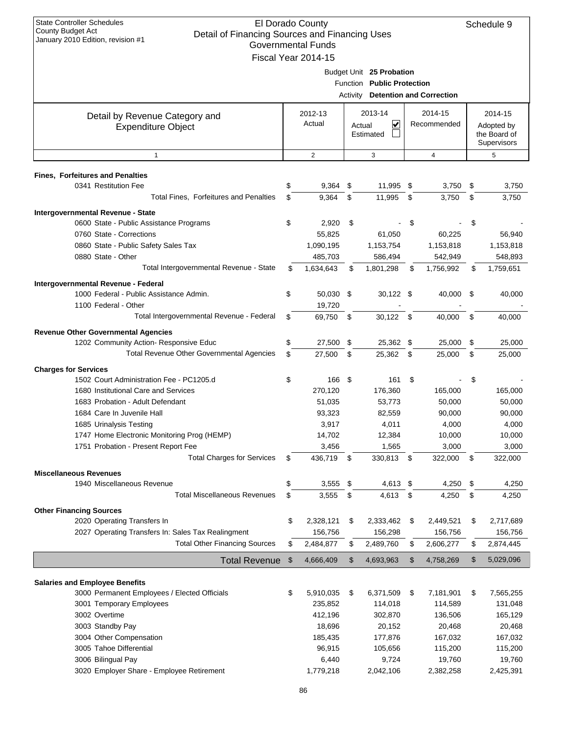| Detail of Financing Sources and Financing Oses<br>January 2010 Edition, revision #1 | <b>Governmental Funds</b> |     |                                          |      |             |      |              |
|-------------------------------------------------------------------------------------|---------------------------|-----|------------------------------------------|------|-------------|------|--------------|
|                                                                                     | Fiscal Year 2014-15       |     |                                          |      |             |      |              |
|                                                                                     |                           |     | Budget Unit 25 Probation                 |      |             |      |              |
|                                                                                     |                           |     | Function Public Protection               |      |             |      |              |
|                                                                                     |                           |     | <b>Activity Detention and Correction</b> |      |             |      |              |
|                                                                                     | 2012-13                   |     | 2013-14                                  |      | 2014-15     |      | 2014-15      |
| Detail by Revenue Category and<br><b>Expenditure Object</b>                         | Actual                    |     | V<br>Actual                              |      | Recommended |      | Adopted by   |
|                                                                                     |                           |     | Estimated                                |      |             |      | the Board of |
|                                                                                     |                           |     |                                          |      |             |      | Supervisors  |
| $\mathbf{1}$                                                                        | 2                         |     | 3                                        |      | 4           |      | 5            |
| <b>Fines, Forfeitures and Penalties</b>                                             |                           |     |                                          |      |             |      |              |
| 0341 Restitution Fee                                                                | \$<br>9,364               | \$  | 11,995 \$                                |      | 3,750       | \$   | 3,750        |
| Total Fines, Forfeitures and Penalties                                              | \$<br>9,364               | \$  | 11,995                                   | \$   | 3,750       | \$   | 3,750        |
| Intergovernmental Revenue - State                                                   |                           |     |                                          |      |             |      |              |
| 0600 State - Public Assistance Programs                                             | \$<br>2,920               | -\$ |                                          | \$   |             | \$   |              |
| 0760 State - Corrections                                                            | 55,825                    |     | 61,050                                   |      | 60,225      |      | 56,940       |
| 0860 State - Public Safety Sales Tax                                                | 1,090,195                 |     | 1,153,754                                |      | 1,153,818   |      | 1,153,818    |
| 0880 State - Other                                                                  | 485,703                   |     | 586,494                                  |      | 542,949     |      | 548,893      |
| Total Intergovernmental Revenue - State                                             | \$<br>1,634,643           | \$  | 1,801,298                                | \$   | 1,756,992   | \$   | 1,759,651    |
| Intergovernmental Revenue - Federal                                                 |                           |     |                                          |      |             |      |              |
| 1000 Federal - Public Assistance Admin.                                             | \$<br>50,030 \$           |     | $30,122$ \$                              |      | 40,000      | - \$ | 40,000       |
| 1100 Federal - Other                                                                | 19,720                    |     |                                          |      |             |      |              |
| Total Intergovernmental Revenue - Federal                                           | \$<br>69,750              | \$  | 30,122                                   | - \$ | 40,000      | \$   | 40,000       |
| <b>Revenue Other Governmental Agencies</b>                                          |                           |     |                                          |      |             |      |              |
| 1202 Community Action- Responsive Educ                                              | \$<br>27,500              | \$  | 25,362 \$                                |      | 25,000      | \$   | 25,000       |
| Total Revenue Other Governmental Agencies                                           | \$<br>27,500              | -\$ | 25,362 \$                                |      | 25,000      | \$   | 25,000       |
| <b>Charges for Services</b>                                                         |                           |     |                                          |      |             |      |              |
| 1502 Court Administration Fee - PC1205.d                                            | \$<br>166 \$              |     | 161                                      | \$   |             | \$   |              |
| 1680 Institutional Care and Services                                                | 270,120                   |     | 176,360                                  |      | 165,000     |      | 165,000      |
| 1683 Probation - Adult Defendant                                                    | 51,035                    |     | 53,773                                   |      | 50,000      |      | 50,000       |
| 1684 Care In Juvenile Hall                                                          | 93,323                    |     | 82,559                                   |      | 90,000      |      | 90,000       |
| 1685 Urinalysis Testing                                                             | 3,917                     |     | 4,011                                    |      | 4,000       |      | 4,000        |
| 1747 Home Electronic Monitoring Prog (HEMP)                                         | 14,702                    |     | 12,384                                   |      | 10,000      |      | 10,000       |
| 1751 Probation - Present Report Fee                                                 | 3,456                     |     | 1,565                                    |      | 3,000       |      | 3,000        |
| <b>Total Charges for Services</b>                                                   | \$<br>436,719             | \$  | 330,813                                  | \$   | 322,000     | \$   | 322,000      |
| <b>Miscellaneous Revenues</b>                                                       |                           |     |                                          |      |             |      |              |
| 1940 Miscellaneous Revenue                                                          | \$<br>3,555               | \$  | 4,613                                    | \$   | 4,250       | \$   | 4,250        |
| <b>Total Miscellaneous Revenues</b>                                                 | \$<br>3,555               | \$  | 4,613                                    | \$   | 4,250       | \$   | 4,250        |
| <b>Other Financing Sources</b>                                                      |                           |     |                                          |      |             |      |              |
| 2020 Operating Transfers In                                                         | \$<br>2,328,121           | \$  | 2,333,462                                | \$   | 2,449,521   | \$   | 2,717,689    |
| 2027 Operating Transfers In: Sales Tax Realingment                                  | 156,756                   |     | 156,298                                  |      | 156,756     |      | 156,756      |
| <b>Total Other Financing Sources</b>                                                | \$<br>2,484,877           | \$  | 2,489,760                                | \$   | 2,606,277   | \$   | 2,874,445    |
| <b>Total Revenue</b>                                                                | \$<br>4,666,409           | \$  | 4,693,963                                | \$   | 4,758,269   | \$   | 5,029,096    |
|                                                                                     |                           |     |                                          |      |             |      |              |
| <b>Salaries and Employee Benefits</b>                                               |                           |     |                                          |      |             |      |              |
| 3000 Permanent Employees / Elected Officials                                        | \$<br>5,910,035           | \$  | 6,371,509                                | \$   | 7,181,901   | \$   | 7,565,255    |
| 3001 Temporary Employees                                                            | 235,852                   |     | 114,018                                  |      | 114,589     |      | 131,048      |
| 3002 Overtime                                                                       | 412,196                   |     | 302,870                                  |      | 136,506     |      | 165,129      |
| 3003 Standby Pay                                                                    | 18,696                    |     | 20,152                                   |      | 20,468      |      | 20,468       |
| 3004 Other Compensation                                                             | 185,435                   |     | 177,876                                  |      | 167,032     |      | 167,032      |
| 3005 Tahoe Differential                                                             | 96,915                    |     | 105,656                                  |      | 115,200     |      | 115,200      |
| 3006 Bilingual Pay                                                                  | 6,440                     |     | 9,724                                    |      | 19,760      |      | 19,760       |
| 3020 Employer Share - Employee Retirement                                           | 1,779,218                 |     | 2,042,106                                |      | 2,382,258   |      | 2,425,391    |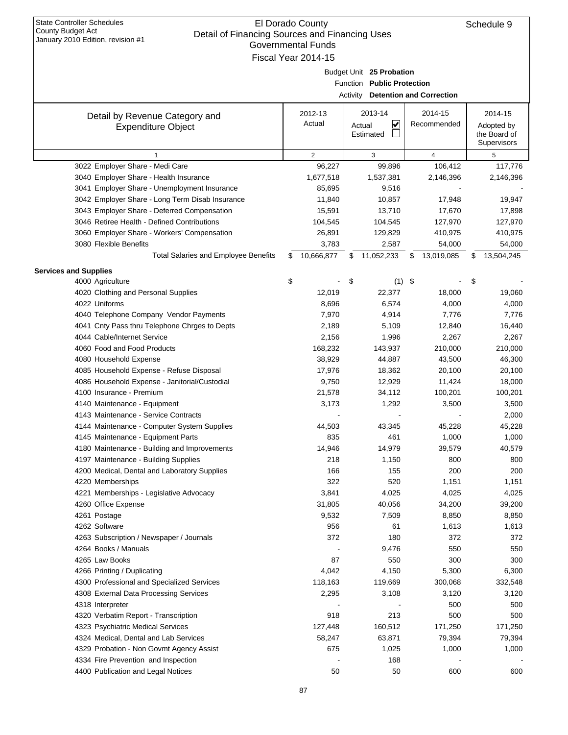| January 2010 Edition, revision #1<br>Governmental Funds |                     |                                   |                 |                 |  |  |  |  |  |  |  |
|---------------------------------------------------------|---------------------|-----------------------------------|-----------------|-----------------|--|--|--|--|--|--|--|
|                                                         | Fiscal Year 2014-15 |                                   |                 |                 |  |  |  |  |  |  |  |
|                                                         |                     | Budget Unit 25 Probation          |                 |                 |  |  |  |  |  |  |  |
|                                                         |                     | Function Public Protection        |                 |                 |  |  |  |  |  |  |  |
|                                                         |                     | Activity Detention and Correction |                 |                 |  |  |  |  |  |  |  |
|                                                         |                     |                                   |                 |                 |  |  |  |  |  |  |  |
| Detail by Revenue Category and                          | 2012-13             | 2013-14                           | 2014-15         | 2014-15         |  |  |  |  |  |  |  |
| <b>Expenditure Object</b>                               | Actual              | ☑<br>Actual                       | Recommended     | Adopted by      |  |  |  |  |  |  |  |
|                                                         |                     | Estimated                         |                 | the Board of    |  |  |  |  |  |  |  |
|                                                         |                     |                                   |                 | Supervisors     |  |  |  |  |  |  |  |
| 1                                                       | $\overline{2}$      | 3                                 | $\overline{4}$  | 5               |  |  |  |  |  |  |  |
| 3022 Employer Share - Medi Care                         | 96,227              | 99,896                            | 106,412         | 117,776         |  |  |  |  |  |  |  |
| 3040 Employer Share - Health Insurance                  | 1,677,518           | 1,537,381                         | 2,146,396       | 2,146,396       |  |  |  |  |  |  |  |
| 3041 Employer Share - Unemployment Insurance            | 85,695              | 9,516                             |                 |                 |  |  |  |  |  |  |  |
| 3042 Employer Share - Long Term Disab Insurance         | 11,840              | 10,857                            | 17,948          | 19,947          |  |  |  |  |  |  |  |
| 3043 Employer Share - Deferred Compensation             | 15,591              | 13,710                            | 17,670          | 17,898          |  |  |  |  |  |  |  |
| 3046 Retiree Health - Defined Contributions             | 104,545             | 104,545                           | 127,970         | 127,970         |  |  |  |  |  |  |  |
| 3060 Employer Share - Workers' Compensation             | 26,891              | 129,829                           | 410,975         | 410,975         |  |  |  |  |  |  |  |
| 3080 Flexible Benefits                                  | 3,783               | 2,587                             | 54,000          | 54,000          |  |  |  |  |  |  |  |
| <b>Total Salaries and Employee Benefits</b>             | 10,666,877<br>\$    | 11,052,233<br>\$                  | 13,019,085<br>S | 13,504,245<br>S |  |  |  |  |  |  |  |
| <b>Services and Supplies</b>                            |                     |                                   |                 |                 |  |  |  |  |  |  |  |
| 4000 Agriculture                                        | \$                  | \$<br>$(1)$ \$                    |                 | \$              |  |  |  |  |  |  |  |
| 4020 Clothing and Personal Supplies                     | 12,019              | 22,377                            | 18,000          | 19,060          |  |  |  |  |  |  |  |
| 4022 Uniforms                                           | 8,696               | 6,574                             | 4,000           | 4,000           |  |  |  |  |  |  |  |
| 4040 Telephone Company Vendor Payments                  | 7,970               | 4,914                             | 7,776           | 7,776           |  |  |  |  |  |  |  |
| 4041 Cnty Pass thru Telephone Chrges to Depts           | 2,189               | 5,109                             | 12,840          | 16,440          |  |  |  |  |  |  |  |
| 4044 Cable/Internet Service                             | 2,156               | 1,996                             | 2,267           | 2,267           |  |  |  |  |  |  |  |
| 4060 Food and Food Products                             | 168,232             | 143,937                           | 210,000         | 210,000         |  |  |  |  |  |  |  |
| 4080 Household Expense                                  | 38,929              | 44,887                            | 43,500          | 46,300          |  |  |  |  |  |  |  |
| 4085 Household Expense - Refuse Disposal                | 17,976              | 18,362                            | 20,100          | 20,100          |  |  |  |  |  |  |  |
| 4086 Household Expense - Janitorial/Custodial           | 9,750               | 12,929                            | 11,424          | 18,000          |  |  |  |  |  |  |  |
| 4100 Insurance - Premium                                | 21,578              | 34,112                            | 100,201         | 100,201         |  |  |  |  |  |  |  |
| 4140 Maintenance - Equipment                            | 3,173               | 1,292                             | 3,500           | 3,500           |  |  |  |  |  |  |  |
| 4143 Maintenance - Service Contracts                    |                     |                                   |                 | 2,000           |  |  |  |  |  |  |  |
| 4144 Maintenance - Computer System Supplies             | 44,503              | 43,345                            | 45,228          | 45,228          |  |  |  |  |  |  |  |
| 4145 Maintenance - Equipment Parts                      | 835                 | 461                               | 1,000           | 1,000           |  |  |  |  |  |  |  |
| 4180 Maintenance - Building and Improvements            | 14,946              | 14,979                            | 39,579          | 40,579          |  |  |  |  |  |  |  |
| 4197 Maintenance - Building Supplies                    | 218                 | 1,150                             | 800             | 800             |  |  |  |  |  |  |  |
| 4200 Medical, Dental and Laboratory Supplies            | 166                 | 155                               | 200             | 200             |  |  |  |  |  |  |  |
| 4220 Memberships                                        | 322                 | 520                               | 1,151           | 1,151           |  |  |  |  |  |  |  |
| 4221 Memberships - Legislative Advocacy                 | 3,841               | 4,025                             | 4,025           | 4,025           |  |  |  |  |  |  |  |
| 4260 Office Expense                                     | 31,805              | 40,056                            | 34,200          | 39,200          |  |  |  |  |  |  |  |
| 4261 Postage                                            | 9,532               | 7,509                             | 8,850           | 8,850           |  |  |  |  |  |  |  |
| 4262 Software                                           | 956                 | 61                                | 1,613           | 1,613           |  |  |  |  |  |  |  |
| 4263 Subscription / Newspaper / Journals                | 372                 | 180                               | 372             | 372             |  |  |  |  |  |  |  |
| 4264 Books / Manuals                                    |                     | 9,476                             | 550             | 550             |  |  |  |  |  |  |  |
| 4265 Law Books                                          | 87                  | 550                               | 300             | 300             |  |  |  |  |  |  |  |
| 4266 Printing / Duplicating                             | 4,042               | 4,150                             | 5,300           | 6,300           |  |  |  |  |  |  |  |
| 4300 Professional and Specialized Services              | 118,163             | 119,669                           | 300,068         | 332,548         |  |  |  |  |  |  |  |
| 4308 External Data Processing Services                  | 2,295               | 3,108                             | 3,120           | 3,120           |  |  |  |  |  |  |  |
| 4318 Interpreter                                        |                     |                                   | 500             | 500             |  |  |  |  |  |  |  |
| 4320 Verbatim Report - Transcription                    | 918                 | 213                               | 500             | 500             |  |  |  |  |  |  |  |
| 4323 Psychiatric Medical Services                       | 127,448             | 160,512                           | 171,250         | 171,250         |  |  |  |  |  |  |  |
| 4324 Medical, Dental and Lab Services                   | 58,247              | 63,871                            | 79,394          | 79,394          |  |  |  |  |  |  |  |
| 4329 Probation - Non Govmt Agency Assist                | 675                 | 1,025                             | 1,000           | 1,000           |  |  |  |  |  |  |  |
| 4334 Fire Prevention and Inspection                     |                     | 168                               |                 |                 |  |  |  |  |  |  |  |
| 4400 Publication and Legal Notices                      | 50                  | 50                                | 600             | 600             |  |  |  |  |  |  |  |
|                                                         |                     |                                   |                 |                 |  |  |  |  |  |  |  |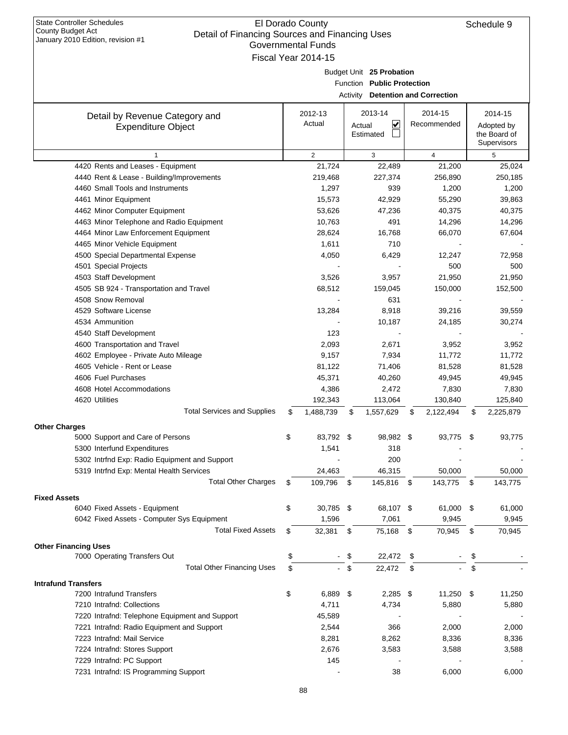| January 2010 Edition, revision #1                | Governmental Funds  |        |                            |      |                                          |                  |
|--------------------------------------------------|---------------------|--------|----------------------------|------|------------------------------------------|------------------|
|                                                  | Fiscal Year 2014-15 |        |                            |      |                                          |                  |
|                                                  |                     |        | Budget Unit 25 Probation   |      |                                          |                  |
|                                                  |                     |        | Function Public Protection |      |                                          |                  |
|                                                  |                     |        |                            |      | <b>Activity Detention and Correction</b> |                  |
|                                                  | 2012-13             |        | 2013-14                    |      | 2014-15                                  | 2014-15          |
| Detail by Revenue Category and                   | Actual              | Actual | ⊻                          |      | Recommended                              | Adopted by       |
| <b>Expenditure Object</b>                        |                     |        | Estimated                  |      |                                          | the Board of     |
|                                                  |                     |        |                            |      |                                          | Supervisors      |
| $\mathbf{1}$                                     | $\overline{2}$      |        | 3                          |      | $\overline{4}$                           | 5                |
| 4420 Rents and Leases - Equipment                | 21,724              |        | 22,489                     |      | 21,200                                   | 25,024           |
| 4440 Rent & Lease - Building/Improvements        | 219,468             |        | 227,374                    |      | 256,890                                  | 250,185          |
| 4460 Small Tools and Instruments                 | 1,297               |        | 939                        |      | 1,200                                    | 1,200            |
| 4461 Minor Equipment                             | 15,573              |        | 42,929                     |      | 55,290                                   | 39,863           |
| 4462 Minor Computer Equipment                    | 53,626              |        | 47,236                     |      | 40,375                                   | 40,375           |
| 4463 Minor Telephone and Radio Equipment         | 10,763              |        | 491                        |      | 14,296                                   | 14,296           |
| 4464 Minor Law Enforcement Equipment             | 28,624              |        | 16,768                     |      | 66,070                                   | 67,604           |
| 4465 Minor Vehicle Equipment                     | 1,611               |        | 710                        |      |                                          |                  |
| 4500 Special Departmental Expense                | 4,050               |        | 6,429                      |      | 12,247                                   | 72,958           |
| 4501 Special Projects                            |                     |        |                            |      | 500                                      | 500              |
| 4503 Staff Development                           | 3,526               |        | 3,957                      |      | 21,950                                   | 21,950           |
| 4505 SB 924 - Transportation and Travel          | 68,512              |        | 159,045                    |      | 150,000                                  | 152,500          |
| 4508 Snow Removal                                |                     |        | 631                        |      |                                          |                  |
| 4529 Software License                            | 13,284              |        | 8,918                      |      | 39,216                                   | 39,559           |
| 4534 Ammunition                                  |                     |        | 10,187                     |      | 24,185                                   | 30,274           |
| 4540 Staff Development                           | 123                 |        |                            |      |                                          |                  |
| 4600 Transportation and Travel                   | 2,093               |        | 2,671                      |      | 3,952                                    | 3,952            |
| 4602 Employee - Private Auto Mileage             | 9,157               |        | 7,934                      |      | 11,772                                   | 11,772           |
| 4605 Vehicle - Rent or Lease                     | 81,122              |        | 71,406                     |      | 81,528                                   | 81,528           |
| 4606 Fuel Purchases<br>4608 Hotel Accommodations | 45,371              |        | 40,260                     |      | 49,945                                   | 49,945           |
| 4620 Utilities                                   | 4,386<br>192,343    |        | 2,472<br>113,064           |      | 7,830<br>130,840                         | 7,830<br>125,840 |
| <b>Total Services and Supplies</b>               | \$<br>1,488,739     | \$     | 1,557,629                  | \$   | 2,122,494                                | \$<br>2,225,879  |
|                                                  |                     |        |                            |      |                                          |                  |
| <b>Other Charges</b>                             |                     |        |                            |      |                                          |                  |
| 5000 Support and Care of Persons                 | \$<br>83,792 \$     |        | 98,982 \$                  |      | 93,775                                   | \$<br>93,775     |
| 5300 Interfund Expenditures                      | 1,541               |        | 318                        |      |                                          |                  |
| 5302 Intrfnd Exp: Radio Equipment and Support    |                     |        | 200                        |      |                                          |                  |
| 5319 Intrfnd Exp: Mental Health Services         | 24,463              |        | 46,315                     |      | 50,000                                   | 50,000           |
| <b>Total Other Charges</b>                       | \$<br>109,796       | \$     | 145,816                    | - \$ | 143,775                                  | \$<br>143,775    |
| <b>Fixed Assets</b>                              |                     |        |                            |      |                                          |                  |
| 6040 Fixed Assets - Equipment                    | \$<br>30,785 \$     |        | 68,107 \$                  |      | 61,000                                   | \$<br>61,000     |
| 6042 Fixed Assets - Computer Sys Equipment       | 1,596               |        | 7,061                      |      | 9,945                                    | 9,945            |
| <b>Total Fixed Assets</b>                        | \$<br>32,381        | \$     | 75,168                     | - \$ | 70,945                                   | \$<br>70,945     |
| <b>Other Financing Uses</b>                      |                     |        |                            |      |                                          |                  |
| 7000 Operating Transfers Out                     | \$                  | \$     | 22,472                     | \$   |                                          |                  |
| <b>Total Other Financing Uses</b>                | \$                  | \$     | 22,472                     | \$   |                                          | \$               |
| <b>Intrafund Transfers</b>                       |                     |        |                            |      |                                          |                  |
| 7200 Intrafund Transfers                         | \$<br>6,889 \$      |        | $2,285$ \$                 |      | 11,250                                   | \$<br>11,250     |
| 7210 Intrafnd: Collections                       | 4,711               |        | 4,734                      |      | 5,880                                    | 5,880            |
| 7220 Intrafnd: Telephone Equipment and Support   | 45,589              |        |                            |      |                                          |                  |
| 7221 Intrafnd: Radio Equipment and Support       | 2,544               |        | 366                        |      | 2,000                                    | 2,000            |
| 7223 Intrafnd: Mail Service                      | 8,281               |        | 8,262                      |      | 8,336                                    | 8,336            |
| 7224 Intrafnd: Stores Support                    | 2,676               |        | 3,583                      |      | 3,588                                    | 3,588            |
| 7229 Intrafnd: PC Support                        | 145                 |        |                            |      |                                          |                  |
| 7231 Intrafnd: IS Programming Support            |                     |        | 38                         |      | 6,000                                    | 6,000            |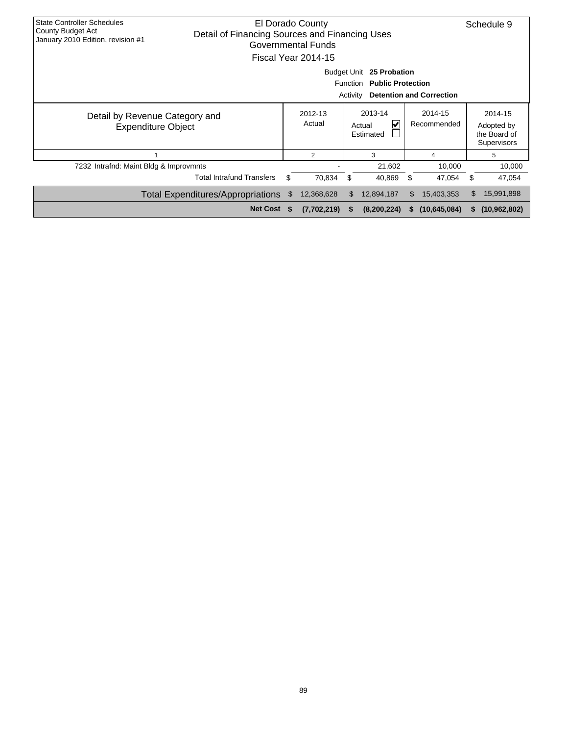| <b>State Controller Schedules</b><br>El Dorado County<br><b>County Budget Act</b><br>Detail of Financing Sources and Financing Uses<br>January 2010 Edition, revision #1<br>Governmental Funds<br>Fiscal Year 2014-15 |                                                                                                                           |    |                   |                                     |             |                        |                |    |                                                      |  |  |  |  |  |
|-----------------------------------------------------------------------------------------------------------------------------------------------------------------------------------------------------------------------|---------------------------------------------------------------------------------------------------------------------------|----|-------------------|-------------------------------------|-------------|------------------------|----------------|----|------------------------------------------------------|--|--|--|--|--|
|                                                                                                                                                                                                                       | <b>Budget Unit</b><br>25 Probation<br>Function<br><b>Public Protection</b><br><b>Detention and Correction</b><br>Activity |    |                   |                                     |             |                        |                |    |                                                      |  |  |  |  |  |
| Detail by Revenue Category and<br><b>Expenditure Object</b>                                                                                                                                                           |                                                                                                                           |    | 2012-13<br>Actual | 2013-14<br>⊻<br>Actual<br>Estimated |             | 2014-15<br>Recommended |                |    | 2014-15<br>Adopted by<br>the Board of<br>Supervisors |  |  |  |  |  |
|                                                                                                                                                                                                                       |                                                                                                                           |    | 2                 |                                     | 3           |                        | 4              |    | 5                                                    |  |  |  |  |  |
| 7232 Intrafnd: Maint Bldg & Improvmnts                                                                                                                                                                                |                                                                                                                           |    |                   |                                     | 21,602      |                        | 10,000         |    | 10,000                                               |  |  |  |  |  |
|                                                                                                                                                                                                                       | <b>Total Intrafund Transfers</b>                                                                                          | \$ | 70,834            | \$                                  | 40,869      | \$.                    | 47,054         | \$ | 47,054                                               |  |  |  |  |  |
|                                                                                                                                                                                                                       | <b>Total Expenditures/Appropriations</b>                                                                                  | S. | 12,368,628        | \$.                                 | 12,894,187  | \$.                    | 15,403,353     | \$ | 15,991,898                                           |  |  |  |  |  |
|                                                                                                                                                                                                                       | Net Cost \$                                                                                                               |    | (7,702,219)       | S.                                  | (8,200,224) | S.                     | (10, 645, 084) | S. | (10, 962, 802)                                       |  |  |  |  |  |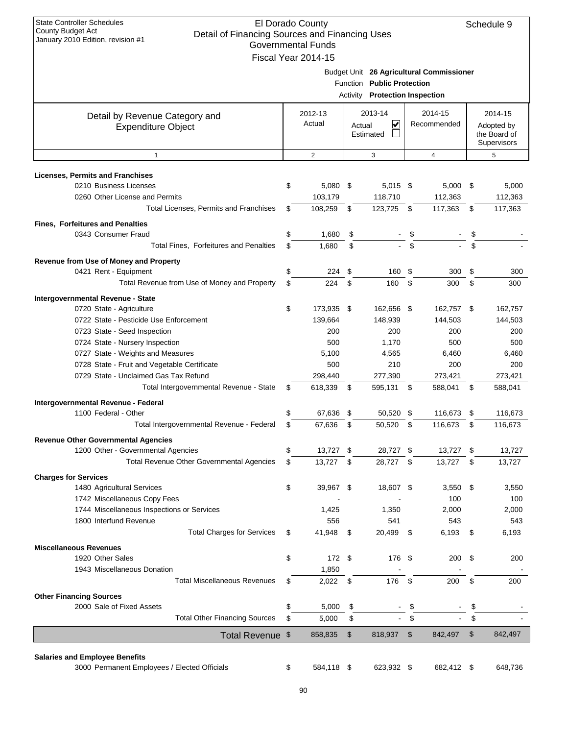| Fiscal Year 2014-15<br>2012-13<br>Actual<br>2<br>$5,080$ \$<br>103,179<br>108,259<br>1,680<br>1,680<br>224<br>224<br>173,935 \$<br>139,664<br>200<br>500<br>5,100<br>500<br>298,440<br>618,339 | Actual<br>- \$<br>\$<br>\$<br>\$<br>\$   | Function Public Protection<br>Activity Protection Inspection<br>2013-14<br>⊻<br>Estimated<br>3<br>$5,015$ \$<br>118,710<br>123,725 \$<br>160<br>160<br>162,656 \$<br>148,939<br>200<br>1,170<br>4,565<br>210<br>277,390 | \$<br>\$<br>\$<br>\$                                  | Budget Unit 26 Agricultural Commissioner<br>2014-15<br>Recommended<br>4<br>$5,000$ \$<br>112,363<br>117,363<br>300<br>300<br>162,757 \$<br>144,503<br>200<br>500<br>6,460<br>200<br>273,421 | \$<br>\$<br>\$                 | 2014-15<br>Adopted by<br>the Board of<br>Supervisors<br>5<br>300   |
|------------------------------------------------------------------------------------------------------------------------------------------------------------------------------------------------|------------------------------------------|-------------------------------------------------------------------------------------------------------------------------------------------------------------------------------------------------------------------------|-------------------------------------------------------|---------------------------------------------------------------------------------------------------------------------------------------------------------------------------------------------|--------------------------------|--------------------------------------------------------------------|
|                                                                                                                                                                                                |                                          |                                                                                                                                                                                                                         |                                                       |                                                                                                                                                                                             |                                | 5,000<br>112,363<br>117,363                                        |
|                                                                                                                                                                                                |                                          |                                                                                                                                                                                                                         |                                                       |                                                                                                                                                                                             |                                |                                                                    |
|                                                                                                                                                                                                |                                          |                                                                                                                                                                                                                         |                                                       |                                                                                                                                                                                             |                                |                                                                    |
|                                                                                                                                                                                                |                                          |                                                                                                                                                                                                                         |                                                       |                                                                                                                                                                                             |                                |                                                                    |
|                                                                                                                                                                                                |                                          |                                                                                                                                                                                                                         |                                                       |                                                                                                                                                                                             |                                |                                                                    |
|                                                                                                                                                                                                |                                          |                                                                                                                                                                                                                         |                                                       |                                                                                                                                                                                             |                                |                                                                    |
|                                                                                                                                                                                                |                                          |                                                                                                                                                                                                                         |                                                       |                                                                                                                                                                                             |                                |                                                                    |
|                                                                                                                                                                                                |                                          |                                                                                                                                                                                                                         |                                                       |                                                                                                                                                                                             |                                |                                                                    |
|                                                                                                                                                                                                |                                          |                                                                                                                                                                                                                         |                                                       |                                                                                                                                                                                             |                                |                                                                    |
|                                                                                                                                                                                                |                                          |                                                                                                                                                                                                                         |                                                       |                                                                                                                                                                                             |                                |                                                                    |
|                                                                                                                                                                                                |                                          |                                                                                                                                                                                                                         |                                                       |                                                                                                                                                                                             |                                |                                                                    |
|                                                                                                                                                                                                |                                          |                                                                                                                                                                                                                         |                                                       |                                                                                                                                                                                             |                                | 300<br>162,757<br>144,503<br>200<br>500<br>6,460<br>200<br>273,421 |
|                                                                                                                                                                                                |                                          |                                                                                                                                                                                                                         |                                                       |                                                                                                                                                                                             |                                |                                                                    |
|                                                                                                                                                                                                |                                          |                                                                                                                                                                                                                         |                                                       |                                                                                                                                                                                             |                                |                                                                    |
|                                                                                                                                                                                                |                                          |                                                                                                                                                                                                                         |                                                       |                                                                                                                                                                                             |                                |                                                                    |
|                                                                                                                                                                                                |                                          |                                                                                                                                                                                                                         |                                                       |                                                                                                                                                                                             |                                |                                                                    |
|                                                                                                                                                                                                |                                          |                                                                                                                                                                                                                         |                                                       |                                                                                                                                                                                             |                                |                                                                    |
|                                                                                                                                                                                                |                                          |                                                                                                                                                                                                                         |                                                       |                                                                                                                                                                                             |                                |                                                                    |
|                                                                                                                                                                                                |                                          |                                                                                                                                                                                                                         |                                                       |                                                                                                                                                                                             |                                |                                                                    |
|                                                                                                                                                                                                |                                          |                                                                                                                                                                                                                         |                                                       |                                                                                                                                                                                             |                                |                                                                    |
|                                                                                                                                                                                                |                                          |                                                                                                                                                                                                                         |                                                       |                                                                                                                                                                                             |                                |                                                                    |
|                                                                                                                                                                                                |                                          | 595,131 \$                                                                                                                                                                                                              |                                                       | 588,041                                                                                                                                                                                     |                                |                                                                    |
|                                                                                                                                                                                                | - \$                                     |                                                                                                                                                                                                                         |                                                       |                                                                                                                                                                                             | \$                             | 588,041                                                            |
| 67,636                                                                                                                                                                                         | \$                                       | 50,520                                                                                                                                                                                                                  | \$                                                    | 116,673                                                                                                                                                                                     | \$                             | 116,673                                                            |
| 67,636                                                                                                                                                                                         | \$                                       | 50,520                                                                                                                                                                                                                  | \$                                                    | 116,673                                                                                                                                                                                     | \$                             | 116,673                                                            |
|                                                                                                                                                                                                |                                          |                                                                                                                                                                                                                         |                                                       |                                                                                                                                                                                             |                                |                                                                    |
|                                                                                                                                                                                                |                                          |                                                                                                                                                                                                                         |                                                       |                                                                                                                                                                                             |                                |                                                                    |
| 13,727 \$                                                                                                                                                                                      |                                          | 28,727                                                                                                                                                                                                                  | -\$                                                   | 13,727                                                                                                                                                                                      | \$                             | 13,727                                                             |
| 13,727                                                                                                                                                                                         | \$                                       | 28,727                                                                                                                                                                                                                  | \$                                                    | 13,727                                                                                                                                                                                      | \$                             | 13,727                                                             |
|                                                                                                                                                                                                |                                          |                                                                                                                                                                                                                         |                                                       |                                                                                                                                                                                             |                                |                                                                    |
| 39,967 \$                                                                                                                                                                                      |                                          | 18,607 \$                                                                                                                                                                                                               |                                                       | 3,550                                                                                                                                                                                       | \$                             | 3,550                                                              |
| 1,425                                                                                                                                                                                          |                                          | 1,350                                                                                                                                                                                                                   |                                                       | 100<br>2,000                                                                                                                                                                                |                                | 100<br>2,000                                                       |
|                                                                                                                                                                                                |                                          |                                                                                                                                                                                                                         |                                                       |                                                                                                                                                                                             |                                | 543                                                                |
|                                                                                                                                                                                                |                                          |                                                                                                                                                                                                                         |                                                       |                                                                                                                                                                                             |                                | 6,193                                                              |
|                                                                                                                                                                                                |                                          |                                                                                                                                                                                                                         |                                                       |                                                                                                                                                                                             |                                |                                                                    |
|                                                                                                                                                                                                |                                          |                                                                                                                                                                                                                         |                                                       |                                                                                                                                                                                             |                                | 200                                                                |
|                                                                                                                                                                                                |                                          |                                                                                                                                                                                                                         |                                                       |                                                                                                                                                                                             |                                |                                                                    |
|                                                                                                                                                                                                |                                          | 176                                                                                                                                                                                                                     | \$                                                    | 200                                                                                                                                                                                         | \$                             | 200                                                                |
|                                                                                                                                                                                                |                                          |                                                                                                                                                                                                                         |                                                       |                                                                                                                                                                                             |                                |                                                                    |
|                                                                                                                                                                                                |                                          |                                                                                                                                                                                                                         |                                                       |                                                                                                                                                                                             | \$                             |                                                                    |
|                                                                                                                                                                                                | \$                                       | $\blacksquare$                                                                                                                                                                                                          | \$                                                    |                                                                                                                                                                                             | \$                             |                                                                    |
| 5,000                                                                                                                                                                                          |                                          |                                                                                                                                                                                                                         |                                                       |                                                                                                                                                                                             |                                | 842,497                                                            |
|                                                                                                                                                                                                | 556<br>41,948<br>1,850<br>2,022<br>5,000 | \$<br>172 \$<br>$\sqrt{3}$<br>\$                                                                                                                                                                                        | 541<br>20,499<br>858,835<br>$\mathfrak{S}$<br>818,937 | \$<br>176 \$<br>\$<br>$\sqrt[6]{3}$                                                                                                                                                         | 543<br>6,193<br>200<br>842,497 | \$<br>- \$<br>\$                                                   |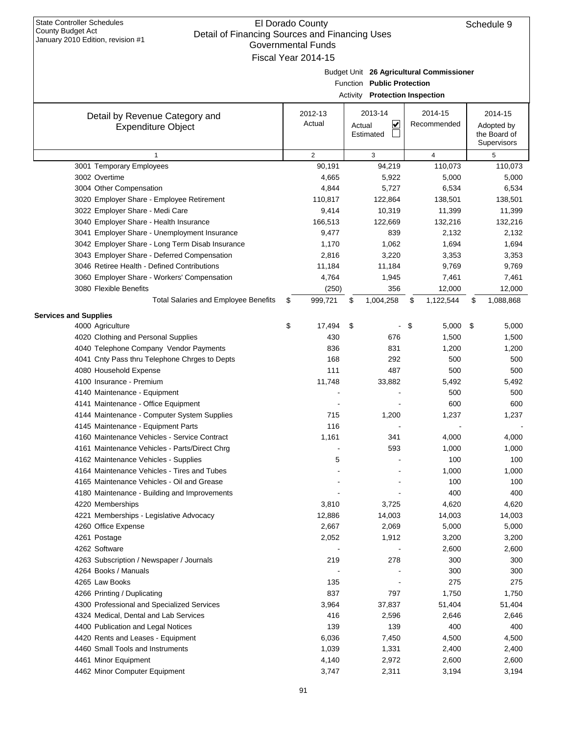| Detail of Financing Sources and Financing Oses<br>January 2010 Edition, revision #1 |    | <b>Governmental Funds</b> |                                                                     |                                          |                                                             |
|-------------------------------------------------------------------------------------|----|---------------------------|---------------------------------------------------------------------|------------------------------------------|-------------------------------------------------------------|
|                                                                                     |    | Fiscal Year 2014-15       |                                                                     |                                          |                                                             |
|                                                                                     |    |                           | Function Public Protection<br><b>Activity Protection Inspection</b> | Budget Unit 26 Agricultural Commissioner |                                                             |
|                                                                                     |    |                           |                                                                     |                                          |                                                             |
| Detail by Revenue Category and<br><b>Expenditure Object</b>                         |    | 2012-13<br>Actual         | 2013-14<br>V<br>Actual<br>Estimated                                 | 2014-15<br>Recommended                   | 2014-15<br>Adopted by<br>the Board of<br><b>Supervisors</b> |
| $\mathbf{1}$                                                                        |    | $\overline{2}$            | 3                                                                   | $\overline{4}$                           | 5                                                           |
| 3001 Temporary Employees                                                            |    | 90,191                    | 94,219                                                              | 110,073                                  | 110,073                                                     |
| 3002 Overtime                                                                       |    | 4,665                     | 5,922                                                               | 5,000                                    | 5,000                                                       |
| 3004 Other Compensation                                                             |    | 4,844                     | 5,727                                                               | 6,534                                    | 6,534                                                       |
| 3020 Employer Share - Employee Retirement                                           |    | 110,817                   | 122,864                                                             | 138,501                                  | 138,501                                                     |
| 3022 Employer Share - Medi Care                                                     |    | 9,414                     | 10,319                                                              | 11,399                                   | 11,399                                                      |
| 3040 Employer Share - Health Insurance                                              |    | 166,513                   | 122,669                                                             | 132,216                                  | 132,216                                                     |
| 3041 Employer Share - Unemployment Insurance                                        |    | 9,477                     | 839                                                                 | 2,132                                    | 2,132                                                       |
| 3042 Employer Share - Long Term Disab Insurance                                     |    | 1,170                     | 1,062                                                               | 1,694                                    | 1,694                                                       |
| 3043 Employer Share - Deferred Compensation                                         |    | 2,816                     | 3,220                                                               | 3,353                                    | 3,353                                                       |
| 3046 Retiree Health - Defined Contributions                                         |    | 11,184                    | 11,184                                                              | 9,769                                    | 9,769                                                       |
| 3060 Employer Share - Workers' Compensation                                         |    | 4,764                     | 1,945                                                               | 7,461                                    | 7,461                                                       |
| 3080 Flexible Benefits                                                              |    | (250)                     | 356                                                                 | 12,000                                   | 12,000                                                      |
| <b>Total Salaries and Employee Benefits</b>                                         | S  | 999,721                   | \$<br>1,004,258                                                     | \$<br>1,122,544                          | \$<br>1,088,868                                             |
| <b>Services and Supplies</b>                                                        |    |                           |                                                                     |                                          |                                                             |
| 4000 Agriculture                                                                    | \$ | 17,494                    | \$                                                                  | \$<br>$5,000$ \$                         | 5,000                                                       |
| 4020 Clothing and Personal Supplies                                                 |    | 430                       | 676                                                                 | 1,500                                    | 1,500                                                       |
| 4040 Telephone Company Vendor Payments                                              |    | 836                       | 831                                                                 | 1,200                                    | 1,200                                                       |
| 4041 Cnty Pass thru Telephone Chrges to Depts                                       |    | 168                       | 292                                                                 | 500                                      | 500                                                         |
| 4080 Household Expense                                                              |    | 111                       | 487                                                                 | 500                                      | 500                                                         |
| 4100 Insurance - Premium                                                            |    | 11,748                    | 33,882                                                              | 5,492                                    | 5,492                                                       |
| 4140 Maintenance - Equipment                                                        |    |                           |                                                                     | 500                                      | 500                                                         |
| 4141 Maintenance - Office Equipment                                                 |    |                           |                                                                     | 600                                      | 600                                                         |
| 4144 Maintenance - Computer System Supplies                                         |    | 715                       | 1,200                                                               | 1,237                                    | 1,237                                                       |
| 4145 Maintenance - Equipment Parts                                                  |    | 116                       |                                                                     |                                          |                                                             |
| 4160 Maintenance Vehicles - Service Contract                                        |    | 1,161                     | 341                                                                 | 4,000                                    | 4,000                                                       |
| 4161 Maintenance Vehicles - Parts/Direct Chrg                                       |    |                           | 593                                                                 | 1,000                                    | 1,000                                                       |
| 4162 Maintenance Vehicles - Supplies                                                |    | 5                         |                                                                     | 100                                      | 100                                                         |
| 4164 Maintenance Vehicles - Tires and Tubes                                         |    |                           |                                                                     | 1,000                                    | 1,000                                                       |
| 4165 Maintenance Vehicles - Oil and Grease                                          |    |                           |                                                                     | 100                                      | 100                                                         |
| 4180 Maintenance - Building and Improvements                                        |    |                           |                                                                     | 400                                      | 400                                                         |
| 4220 Memberships                                                                    |    | 3,810                     | 3,725                                                               | 4,620                                    | 4,620                                                       |
| 4221 Memberships - Legislative Advocacy                                             |    | 12,886                    | 14,003                                                              | 14,003                                   | 14,003                                                      |
| 4260 Office Expense                                                                 |    | 2,667                     | 2,069                                                               | 5,000                                    | 5,000                                                       |
| 4261 Postage                                                                        |    | 2,052                     | 1,912                                                               | 3,200                                    | 3,200                                                       |
| 4262 Software                                                                       |    |                           |                                                                     | 2,600                                    | 2,600                                                       |
| 4263 Subscription / Newspaper / Journals                                            |    | 219                       | 278                                                                 | 300                                      | 300                                                         |
| 4264 Books / Manuals                                                                |    |                           |                                                                     | 300                                      | 300                                                         |
| 4265 Law Books                                                                      |    | 135                       |                                                                     | 275                                      | 275                                                         |
| 4266 Printing / Duplicating                                                         |    | 837                       | 797                                                                 | 1,750                                    | 1,750                                                       |
| 4300 Professional and Specialized Services                                          |    | 3,964                     | 37,837                                                              | 51,404                                   | 51,404                                                      |
| 4324 Medical, Dental and Lab Services                                               |    | 416                       | 2,596                                                               | 2,646                                    | 2,646                                                       |
| 4400 Publication and Legal Notices                                                  |    | 139                       | 139                                                                 | 400                                      | 400                                                         |
| 4420 Rents and Leases - Equipment                                                   |    | 6,036                     | 7,450                                                               | 4,500                                    | 4,500                                                       |
| 4460 Small Tools and Instruments                                                    |    | 1,039                     | 1,331                                                               | 2,400                                    | 2,400                                                       |
| 4461 Minor Equipment                                                                |    | 4,140                     | 2,972                                                               | 2,600                                    | 2,600                                                       |
| 4462 Minor Computer Equipment                                                       |    | 3,747                     | 2,311                                                               | 3,194                                    | 3,194                                                       |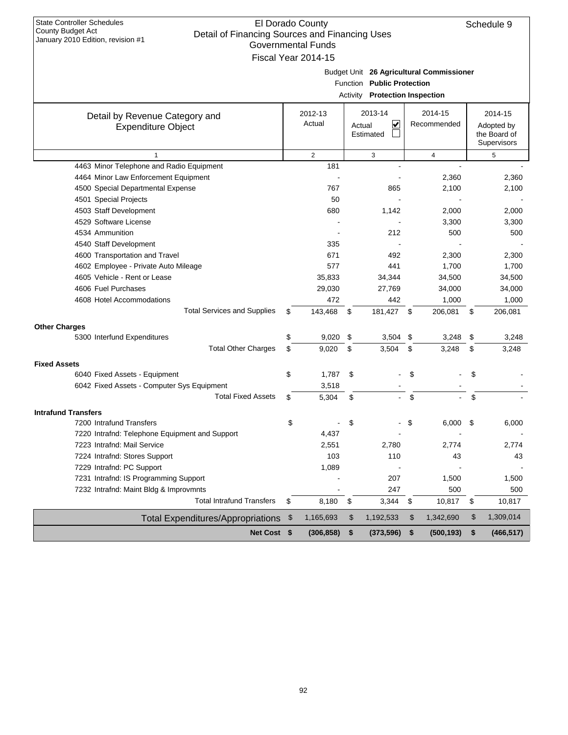| State Controller Schedules        |  |
|-----------------------------------|--|
| County Budget Act                 |  |
| January 2010 Edition, revision #1 |  |

| Budget Unit 26 Agricultural Commissioner |  |
|------------------------------------------|--|

**Public Protection**

| Function Public Protection<br>Activity<br><b>Protection Inspection</b> |    |                   |    |                                     |    |                        |      |                                                      |  |  |
|------------------------------------------------------------------------|----|-------------------|----|-------------------------------------|----|------------------------|------|------------------------------------------------------|--|--|
| Detail by Revenue Category and<br><b>Expenditure Object</b>            |    | 2012-13<br>Actual |    | 2013-14<br>V<br>Actual<br>Estimated |    | 2014-15<br>Recommended |      | 2014-15<br>Adopted by<br>the Board of<br>Supervisors |  |  |
| $\mathbf{1}$                                                           |    | $\overline{2}$    |    | 3                                   |    | $\overline{4}$         |      | 5                                                    |  |  |
| 4463 Minor Telephone and Radio Equipment                               |    | 181               |    |                                     |    |                        |      |                                                      |  |  |
| 4464 Minor Law Enforcement Equipment                                   |    |                   |    |                                     |    | 2,360                  |      | 2,360                                                |  |  |
| 4500 Special Departmental Expense                                      |    | 767               |    | 865                                 |    | 2,100                  |      | 2,100                                                |  |  |
| 4501 Special Projects                                                  |    | 50                |    |                                     |    |                        |      |                                                      |  |  |
| 4503 Staff Development                                                 |    | 680               |    | 1,142                               |    | 2,000                  |      | 2,000                                                |  |  |
| 4529 Software License                                                  |    |                   |    |                                     |    | 3,300                  |      | 3,300                                                |  |  |
| 4534 Ammunition                                                        |    |                   |    | 212                                 |    | 500                    |      | 500                                                  |  |  |
| 4540 Staff Development                                                 |    | 335               |    |                                     |    |                        |      |                                                      |  |  |
| 4600 Transportation and Travel                                         |    | 671               |    | 492                                 |    | 2,300                  |      | 2,300                                                |  |  |
| 4602 Employee - Private Auto Mileage                                   |    | 577               |    | 441                                 |    | 1,700                  |      | 1,700                                                |  |  |
| 4605 Vehicle - Rent or Lease                                           |    | 35,833            |    | 34,344                              |    | 34,500                 |      | 34,500                                               |  |  |
| 4606 Fuel Purchases                                                    |    | 29,030            |    | 27,769                              |    | 34,000                 |      | 34,000                                               |  |  |
| 4608 Hotel Accommodations                                              |    | 472               |    | 442                                 |    | 1,000                  |      | 1,000                                                |  |  |
| <b>Total Services and Supplies</b>                                     | \$ | 143,468           | \$ | 181,427                             | \$ | 206,081                | \$   | 206,081                                              |  |  |
| <b>Other Charges</b>                                                   |    |                   |    |                                     |    |                        |      |                                                      |  |  |
| 5300 Interfund Expenditures                                            | \$ | 9,020             | \$ | 3,504                               | \$ | 3,248                  | - \$ | 3,248                                                |  |  |
| <b>Total Other Charges</b>                                             | \$ | 9.020             | \$ | 3,504                               | \$ | 3,248                  | \$   | 3,248                                                |  |  |
| <b>Fixed Assets</b>                                                    |    |                   |    |                                     |    |                        |      |                                                      |  |  |
| 6040 Fixed Assets - Equipment                                          | \$ | 1,787             | \$ |                                     | \$ |                        | \$   |                                                      |  |  |
| 6042 Fixed Assets - Computer Sys Equipment                             |    | 3,518             |    |                                     |    |                        |      |                                                      |  |  |
| <b>Total Fixed Assets</b>                                              | \$ | 5,304             | \$ |                                     | \$ |                        | \$   |                                                      |  |  |
| <b>Intrafund Transfers</b>                                             |    |                   |    |                                     |    |                        |      |                                                      |  |  |
| 7200 Intrafund Transfers                                               | \$ |                   | \$ |                                     | \$ | 6,000                  | \$   | 6,000                                                |  |  |
| 7220 Intrafnd: Telephone Equipment and Support                         |    | 4,437             |    |                                     |    |                        |      |                                                      |  |  |
| 7223 Intrafnd: Mail Service                                            |    | 2,551             |    | 2,780                               |    | 2,774                  |      | 2.774                                                |  |  |
| 7224 Intrafnd: Stores Support                                          |    | 103               |    | 110                                 |    | 43                     |      | 43                                                   |  |  |
| 7229 Intrafnd: PC Support                                              |    | 1,089             |    |                                     |    |                        |      |                                                      |  |  |
| 7231 Intrafnd: IS Programming Support                                  |    |                   |    | 207                                 |    | 1,500                  |      | 1,500                                                |  |  |
| 7232 Intrafnd: Maint Bldg & Improvmnts                                 |    |                   |    | 247                                 |    | 500                    |      | 500                                                  |  |  |
| <b>Total Intrafund Transfers</b>                                       | \$ | 8,180             | \$ | 3,344                               | \$ | 10,817                 | \$   | 10,817                                               |  |  |
| <b>Total Expenditures/Appropriations</b>                               | \$ | 1,165,693         | \$ | 1,192,533                           | \$ | 1,342,690              | \$   | 1,309,014                                            |  |  |
| Net Cost \$                                                            |    | (306, 858)        | \$ | (373, 596)                          | \$ | (500, 193)             | \$   | (466, 517)                                           |  |  |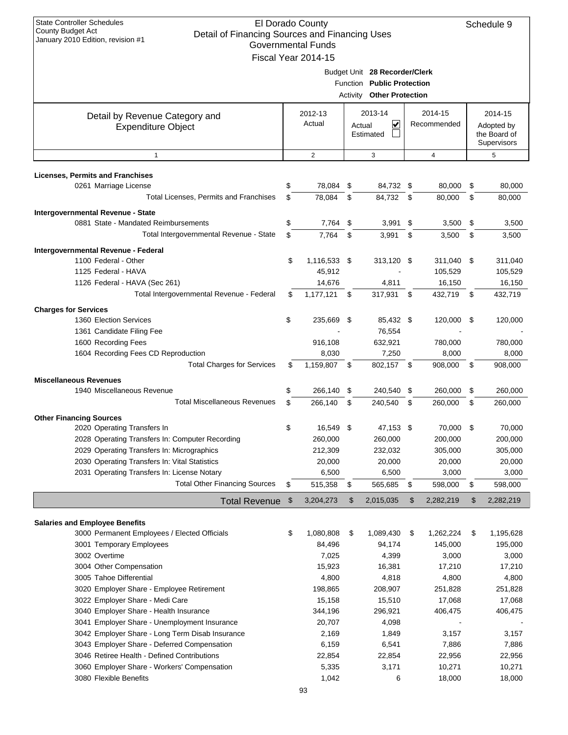| <b>State Controller Schedules</b>                                                                        | El Dorado County          |      |                                  |      |                  |      | Schedule 9                  |
|----------------------------------------------------------------------------------------------------------|---------------------------|------|----------------------------------|------|------------------|------|-----------------------------|
| County Budget Act<br>Detail of Financing Sources and Financing Uses<br>January 2010 Edition, revision #1 |                           |      |                                  |      |                  |      |                             |
|                                                                                                          | <b>Governmental Funds</b> |      |                                  |      |                  |      |                             |
|                                                                                                          | Fiscal Year 2014-15       |      |                                  |      |                  |      |                             |
|                                                                                                          |                           |      | Budget Unit 28 Recorder/Clerk    |      |                  |      |                             |
|                                                                                                          |                           |      | Function Public Protection       |      |                  |      |                             |
|                                                                                                          |                           |      | <b>Activity Other Protection</b> |      |                  |      |                             |
| Detail by Revenue Category and                                                                           | 2012-13                   |      | 2013-14                          |      | 2014-15          |      | 2014-15                     |
| <b>Expenditure Object</b>                                                                                | Actual                    |      | V<br>Actual                      |      | Recommended      |      | Adopted by                  |
|                                                                                                          |                           |      | Estimated                        |      |                  |      | the Board of<br>Supervisors |
| $\mathbf{1}$                                                                                             | 2                         |      | 3                                |      | 4                |      | 5                           |
|                                                                                                          |                           |      |                                  |      |                  |      |                             |
| <b>Licenses, Permits and Franchises</b><br>0261 Marriage License                                         | \$<br>78,084              | \$   | 84,732 \$                        |      | 80,000           | \$   | 80,000                      |
| Total Licenses, Permits and Franchises                                                                   | \$<br>78,084              | \$   | 84,732                           | \$   | 80.000           | \$   | 80,000                      |
|                                                                                                          |                           |      |                                  |      |                  |      |                             |
| Intergovernmental Revenue - State<br>0881 State - Mandated Reimbursements                                | \$<br>7,764               | \$   | 3,991                            | \$   | 3,500            | \$   | 3,500                       |
| Total Intergovernmental Revenue - State                                                                  | \$<br>7,764               | \$   | 3,991                            | \$   | 3,500            | \$   | 3,500                       |
|                                                                                                          |                           |      |                                  |      |                  |      |                             |
| Intergovernmental Revenue - Federal                                                                      |                           |      |                                  |      |                  |      |                             |
| 1100 Federal - Other                                                                                     | \$<br>1,116,533 \$        |      | 313,120 \$                       |      | 311,040 \$       |      | 311,040                     |
| 1125 Federal - HAVA                                                                                      | 45,912                    |      |                                  |      | 105,529          |      | 105,529                     |
| 1126 Federal - HAVA (Sec 261)<br>Total Intergovernmental Revenue - Federal                               | 14,676                    |      | 4,811                            |      | 16,150           |      | 16,150                      |
|                                                                                                          | \$<br>1,177,121           | \$   | 317,931                          | - \$ | 432,719          | \$   | 432,719                     |
| <b>Charges for Services</b>                                                                              |                           |      |                                  |      |                  |      |                             |
| 1360 Election Services                                                                                   | \$<br>235,669             | - \$ | 85,432 \$                        |      | 120,000          | -\$  | 120,000                     |
| 1361 Candidate Filing Fee                                                                                |                           |      | 76,554                           |      |                  |      |                             |
| 1600 Recording Fees                                                                                      | 916,108                   |      | 632,921                          |      | 780,000          |      | 780,000                     |
| 1604 Recording Fees CD Reproduction                                                                      | 8,030                     |      | 7,250                            |      | 8,000            |      | 8,000                       |
| <b>Total Charges for Services</b>                                                                        | \$<br>1,159,807           | -\$  | 802,157 \$                       |      | 908,000          | - \$ | 908,000                     |
| <b>Miscellaneous Revenues</b>                                                                            |                           |      |                                  |      |                  |      |                             |
| 1940 Miscellaneous Revenue                                                                               | \$<br>266,140             | \$   | 240,540 \$                       |      | 260,000          | \$   | 260,000                     |
| <b>Total Miscellaneous Revenues</b>                                                                      | \$<br>266,140             | \$   | 240,540                          | \$   | 260,000          | \$   | 260,000                     |
| <b>Other Financing Sources</b>                                                                           |                           |      |                                  |      |                  |      |                             |
| 2020 Operating Transfers In                                                                              | \$<br>16.549              | - \$ | 47,153 \$                        |      | 70,000           | -\$  | 70,000                      |
| 2028 Operating Transfers In: Computer Recording                                                          | 260,000                   |      | 260,000                          |      | 200,000          |      | 200,000                     |
| 2029 Operating Transfers In: Micrographics                                                               | 212,309                   |      | 232,032                          |      | 305,000          |      | 305,000                     |
| 2030 Operating Transfers In: Vital Statistics                                                            | 20,000                    |      | 20,000                           |      | 20,000           |      | 20,000                      |
| 2031 Operating Transfers In: License Notary<br><b>Total Other Financing Sources</b>                      | 6,500                     | \$   | 6,500                            | \$   | 3,000<br>598,000 |      | 3,000                       |
|                                                                                                          | \$<br>515,358             |      | 565,685                          |      |                  | \$   | 598,000                     |
| <b>Total Revenue</b>                                                                                     | \$<br>3,204,273           | \$   | 2,015,035                        | \$   | 2,282,219        | \$   | 2,282,219                   |
| <b>Salaries and Employee Benefits</b>                                                                    |                           |      |                                  |      |                  |      |                             |
| 3000 Permanent Employees / Elected Officials                                                             | \$<br>1,080,808           | \$   | 1,089,430                        | \$   | 1,262,224        | \$   | 1,195,628                   |
| 3001 Temporary Employees                                                                                 | 84,496                    |      | 94,174                           |      | 145,000          |      | 195,000                     |
| 3002 Overtime                                                                                            | 7,025                     |      | 4,399                            |      | 3,000            |      | 3,000                       |
| 3004 Other Compensation                                                                                  | 15,923                    |      | 16,381                           |      | 17,210           |      | 17,210                      |
| 3005 Tahoe Differential                                                                                  | 4,800                     |      | 4,818                            |      | 4,800            |      | 4,800                       |
| 3020 Employer Share - Employee Retirement                                                                | 198,865                   |      | 208,907                          |      | 251,828          |      | 251,828                     |
| 3022 Employer Share - Medi Care                                                                          | 15,158                    |      | 15,510                           |      | 17,068           |      | 17,068                      |
| 3040 Employer Share - Health Insurance                                                                   | 344,196                   |      | 296,921                          |      | 406,475          |      | 406,475                     |
| 3041 Employer Share - Unemployment Insurance                                                             | 20,707                    |      | 4,098                            |      |                  |      |                             |
| 3042 Employer Share - Long Term Disab Insurance                                                          | 2,169                     |      | 1,849                            |      | 3,157            |      | 3,157                       |
| 3043 Employer Share - Deferred Compensation                                                              | 6,159                     |      | 6,541                            |      | 7,886            |      | 7,886                       |
| 3046 Retiree Health - Defined Contributions                                                              | 22,854                    |      | 22,854                           |      | 22,956           |      | 22,956                      |
| 3060 Employer Share - Workers' Compensation                                                              | 5,335                     |      | 3,171                            |      | 10,271           |      | 10,271                      |
| 3080 Flexible Benefits                                                                                   | 1,042                     |      | 6                                |      | 18,000           |      | 18,000                      |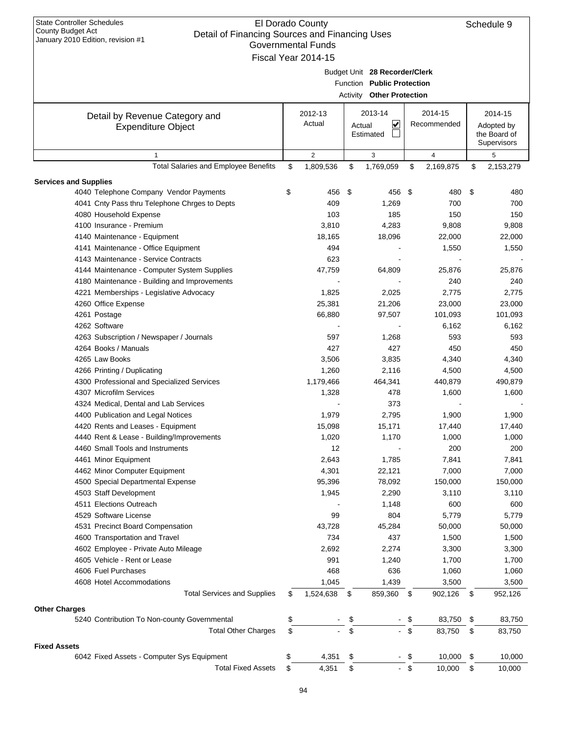| <b>State Controller Schedules</b><br>County Budget Act<br>Detail of Financing Sources and Financing Uses<br>January 2010 Edition, revision #1 | El Dorado County<br><b>Governmental Funds</b><br>Fiscal Year 2014-15 |        |                                                                                          |        |                        | Schedule 9                                           |
|-----------------------------------------------------------------------------------------------------------------------------------------------|----------------------------------------------------------------------|--------|------------------------------------------------------------------------------------------|--------|------------------------|------------------------------------------------------|
|                                                                                                                                               |                                                                      |        | Budget Unit 28 Recorder/Clerk<br>Function Public Protection<br>Activity Other Protection |        |                        |                                                      |
| Detail by Revenue Category and<br><b>Expenditure Object</b>                                                                                   | 2012-13<br>Actual                                                    | Actual | 2013-14<br>V<br>Estimated                                                                |        | 2014-15<br>Recommended | 2014-15<br>Adopted by<br>the Board of<br>Supervisors |
| $\mathbf{1}$                                                                                                                                  | $\overline{2}$                                                       |        | 3                                                                                        |        | $\overline{4}$         | 5                                                    |
| Total Salaries and Employee Benefits                                                                                                          | \$<br>1,809,536                                                      | \$     | 1,769,059                                                                                | \$     | 2,169,875              | \$<br>2,153,279                                      |
| <b>Services and Supplies</b>                                                                                                                  |                                                                      |        |                                                                                          |        |                        |                                                      |
| 4040 Telephone Company Vendor Payments                                                                                                        | \$<br>456                                                            | \$     | 456                                                                                      | - \$   | 480                    | \$<br>480                                            |
| 4041 Cnty Pass thru Telephone Chrges to Depts                                                                                                 | 409                                                                  |        | 1,269                                                                                    |        | 700                    | 700                                                  |
| 4080 Household Expense                                                                                                                        | 103                                                                  |        | 185                                                                                      |        | 150                    | 150                                                  |
| 4100 Insurance - Premium                                                                                                                      | 3,810                                                                |        | 4,283                                                                                    |        | 9,808                  | 9,808                                                |
| 4140 Maintenance - Equipment                                                                                                                  | 18,165                                                               |        | 18,096                                                                                   |        | 22,000                 | 22,000                                               |
| 4141 Maintenance - Office Equipment                                                                                                           | 494                                                                  |        |                                                                                          |        | 1,550                  | 1,550                                                |
| 4143 Maintenance - Service Contracts                                                                                                          | 623                                                                  |        |                                                                                          |        |                        |                                                      |
| 4144 Maintenance - Computer System Supplies                                                                                                   | 47,759                                                               |        | 64,809                                                                                   |        | 25,876                 | 25,876                                               |
| 4180 Maintenance - Building and Improvements                                                                                                  |                                                                      |        |                                                                                          |        | 240                    | 240                                                  |
| 4221 Memberships - Legislative Advocacy                                                                                                       | 1,825                                                                |        | 2,025                                                                                    |        | 2,775                  | 2,775                                                |
| 4260 Office Expense                                                                                                                           | 25,381                                                               |        | 21,206                                                                                   |        | 23,000                 | 23,000                                               |
| 4261 Postage                                                                                                                                  | 66,880                                                               |        | 97,507                                                                                   |        | 101,093                | 101,093                                              |
| 4262 Software                                                                                                                                 |                                                                      |        |                                                                                          |        | 6,162                  | 6,162                                                |
| 4263 Subscription / Newspaper / Journals                                                                                                      | 597                                                                  |        | 1,268                                                                                    |        | 593                    | 593                                                  |
| 4264 Books / Manuals                                                                                                                          | 427                                                                  |        | 427                                                                                      |        | 450                    | 450                                                  |
| 4265 Law Books                                                                                                                                | 3,506                                                                |        | 3,835                                                                                    |        | 4,340                  | 4,340                                                |
| 4266 Printing / Duplicating                                                                                                                   | 1,260                                                                |        | 2,116                                                                                    |        | 4,500                  | 4,500                                                |
| 4300 Professional and Specialized Services                                                                                                    | 1,179,466                                                            |        | 464,341                                                                                  |        | 440,879                | 490,879                                              |
| 4307 Microfilm Services                                                                                                                       | 1,328                                                                |        | 478                                                                                      |        | 1,600                  | 1,600                                                |
| 4324 Medical, Dental and Lab Services                                                                                                         |                                                                      |        | 373                                                                                      |        |                        |                                                      |
| 4400 Publication and Legal Notices                                                                                                            | 1,979                                                                |        | 2,795                                                                                    |        | 1,900                  | 1,900                                                |
| 4420 Rents and Leases - Equipment                                                                                                             | 15,098                                                               |        | 15,171                                                                                   |        | 17,440                 | 17,440                                               |
| 4440 Rent & Lease - Building/Improvements                                                                                                     | 1,020                                                                |        | 1,170                                                                                    |        | 1,000                  | 1,000                                                |
| 4460 Small Tools and Instruments                                                                                                              | 12                                                                   |        |                                                                                          |        | 200                    | 200                                                  |
| 4461 Minor Equipment                                                                                                                          | 2,643                                                                |        | 1,785                                                                                    |        | 7,841                  | 7,841                                                |
| 4462 Minor Computer Equipment                                                                                                                 | 4,301                                                                |        | 22,121                                                                                   |        | 7,000                  | 7,000                                                |
| 4500 Special Departmental Expense                                                                                                             | 95,396                                                               |        | 78,092                                                                                   |        | 150,000                | 150,000                                              |
| 4503 Staff Development                                                                                                                        | 1,945                                                                |        | 2,290                                                                                    |        | 3,110                  | 3,110                                                |
| 4511 Elections Outreach                                                                                                                       |                                                                      |        | 1,148                                                                                    |        | 600                    | 600                                                  |
| 4529 Software License                                                                                                                         | 99                                                                   |        | 804                                                                                      |        | 5,779                  | 5,779                                                |
| 4531 Precinct Board Compensation                                                                                                              | 43,728                                                               |        | 45,284                                                                                   |        | 50,000                 | 50,000                                               |
| 4600 Transportation and Travel                                                                                                                | 734                                                                  |        | 437                                                                                      |        | 1,500                  | 1,500                                                |
| 4602 Employee - Private Auto Mileage                                                                                                          | 2,692                                                                |        | 2,274                                                                                    |        | 3,300                  | 3,300                                                |
| 4605 Vehicle - Rent or Lease                                                                                                                  | 991                                                                  |        | 1,240                                                                                    |        | 1,700                  | 1,700                                                |
| 4606 Fuel Purchases                                                                                                                           | 468                                                                  |        | 636                                                                                      |        | 1,060                  | 1,060                                                |
| 4608 Hotel Accommodations                                                                                                                     | 1,045                                                                |        | 1,439                                                                                    |        | 3,500                  | 3,500                                                |
| <b>Total Services and Supplies</b>                                                                                                            | \$<br>1,524,638                                                      | \$     | 859,360                                                                                  | \$     | 902,126                | \$<br>952,126                                        |
| <b>Other Charges</b>                                                                                                                          |                                                                      |        |                                                                                          |        |                        |                                                      |
| 5240 Contribution To Non-county Governmental                                                                                                  | \$                                                                   | \$     |                                                                                          | - \$   | 83,750                 | \$<br>83,750                                         |
| <b>Total Other Charges</b>                                                                                                                    | \$                                                                   | \$     |                                                                                          | $-$ \$ | 83,750                 | \$<br>83,750                                         |
| <b>Fixed Assets</b>                                                                                                                           |                                                                      |        |                                                                                          |        |                        |                                                      |
| 6042 Fixed Assets - Computer Sys Equipment                                                                                                    | \$<br>4,351                                                          | \$     |                                                                                          | - \$   | 10,000                 | \$<br>10,000                                         |
| <b>Total Fixed Assets</b>                                                                                                                     | \$<br>4,351                                                          | \$     |                                                                                          | - \$   | 10,000                 | \$<br>10,000                                         |